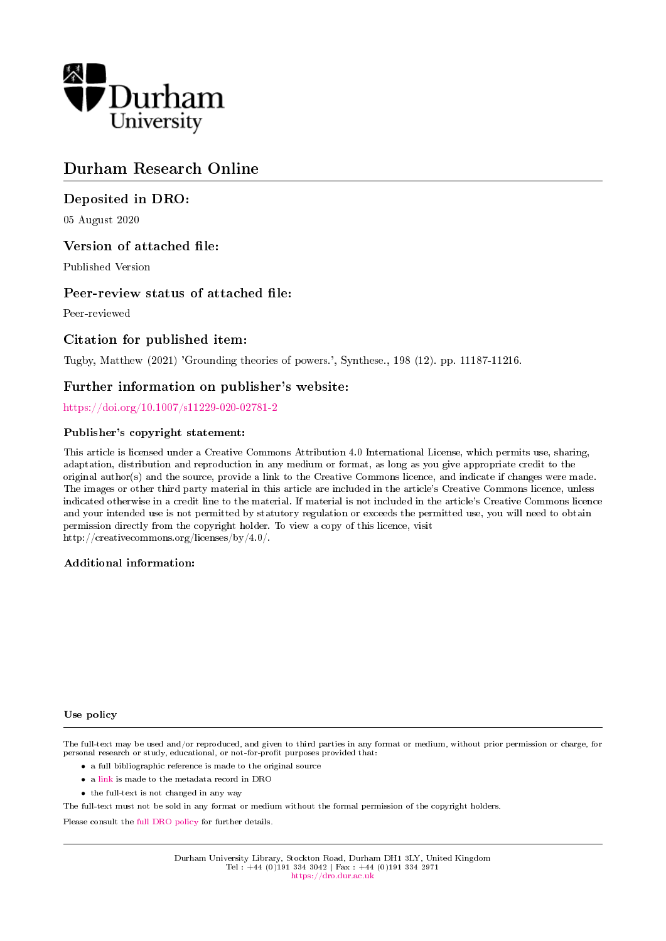

# Durham Research Online

# Deposited in DRO:

05 August 2020

# Version of attached file:

Published Version

## Peer-review status of attached file:

Peer-reviewed

# Citation for published item:

Tugby, Matthew (2021) 'Grounding theories of powers.', Synthese., 198 (12). pp. 11187-11216.

## Further information on publisher's website:

<https://doi.org/10.1007/s11229-020-02781-2>

## Publisher's copyright statement:

This article is licensed under a Creative Commons Attribution 4.0 International License, which permits use, sharing, adaptation, distribution and reproduction in any medium or format, as long as you give appropriate credit to the original author(s) and the source, provide a link to the Creative Commons licence, and indicate if changes were made. The images or other third party material in this article are included in the article's Creative Commons licence, unless indicated otherwise in a credit line to the material. If material is not included in the article's Creative Commons licence and your intended use is not permitted by statutory regulation or exceeds the permitted use, you will need to obtain permission directly from the copyright holder. To view a copy of this licence, visit http://creativecommons.org/licenses/by/4.0/.

### Additional information:

#### Use policy

The full-text may be used and/or reproduced, and given to third parties in any format or medium, without prior permission or charge, for personal research or study, educational, or not-for-profit purposes provided that:

- a full bibliographic reference is made to the original source
- a [link](http://dro.dur.ac.uk/31474/) is made to the metadata record in DRO
- the full-text is not changed in any way

The full-text must not be sold in any format or medium without the formal permission of the copyright holders.

Please consult the [full DRO policy](https://dro.dur.ac.uk/policies/usepolicy.pdf) for further details.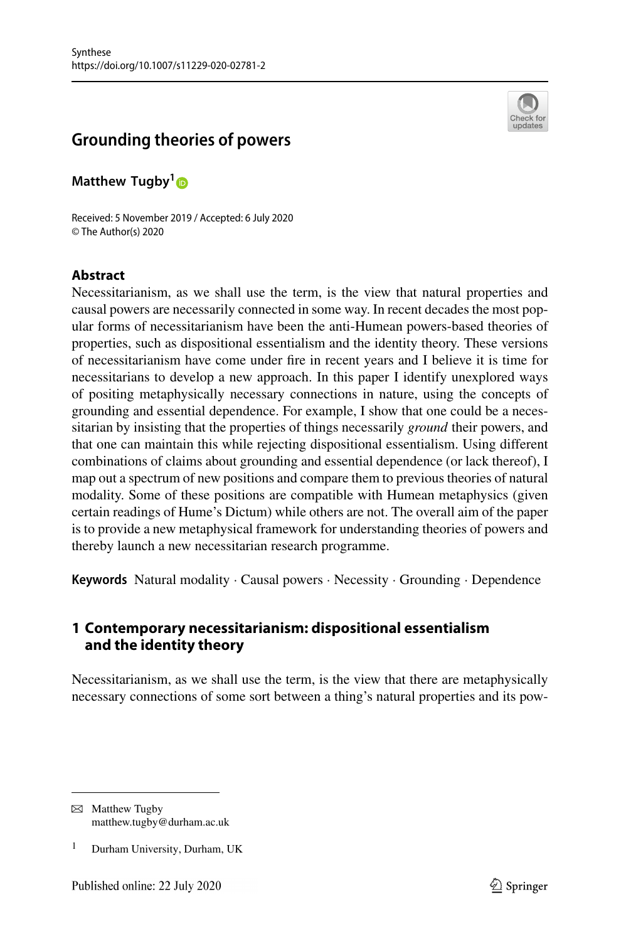

# **Grounding theories of powers**

**Matthew Tugby[1](http://orcid.org/0000-0001-5199-5982)**

Received: 5 November 2019 / Accepted: 6 July 2020 © The Author(s) 2020

#### **Abstract**

Necessitarianism, as we shall use the term, is the view that natural properties and causal powers are necessarily connected in some way. In recent decades the most popular forms of necessitarianism have been the anti-Humean powers-based theories of properties, such as dispositional essentialism and the identity theory. These versions of necessitarianism have come under fire in recent years and I believe it is time for necessitarians to develop a new approach. In this paper I identify unexplored ways of positing metaphysically necessary connections in nature, using the concepts of grounding and essential dependence. For example, I show that one could be a necessitarian by insisting that the properties of things necessarily *ground* their powers, and that one can maintain this while rejecting dispositional essentialism. Using different combinations of claims about grounding and essential dependence (or lack thereof), I map out a spectrum of new positions and compare them to previous theories of natural modality. Some of these positions are compatible with Humean metaphysics (given certain readings of Hume's Dictum) while others are not. The overall aim of the paper is to provide a new metaphysical framework for understanding theories of powers and thereby launch a new necessitarian research programme.

**Keywords** Natural modality · Causal powers · Necessity · Grounding · Dependence

## <span id="page-1-0"></span>**1 Contemporary necessitarianism: dispositional essentialism and the identity theory**

Necessitarianism, as we shall use the term, is the view that there are metaphysically necessary connections of some sort between a thing's natural properties and its pow-

 $\boxtimes$  Matthew Tugby matthew.tugby@durham.ac.uk

<sup>&</sup>lt;sup>1</sup> Durham University, Durham, UK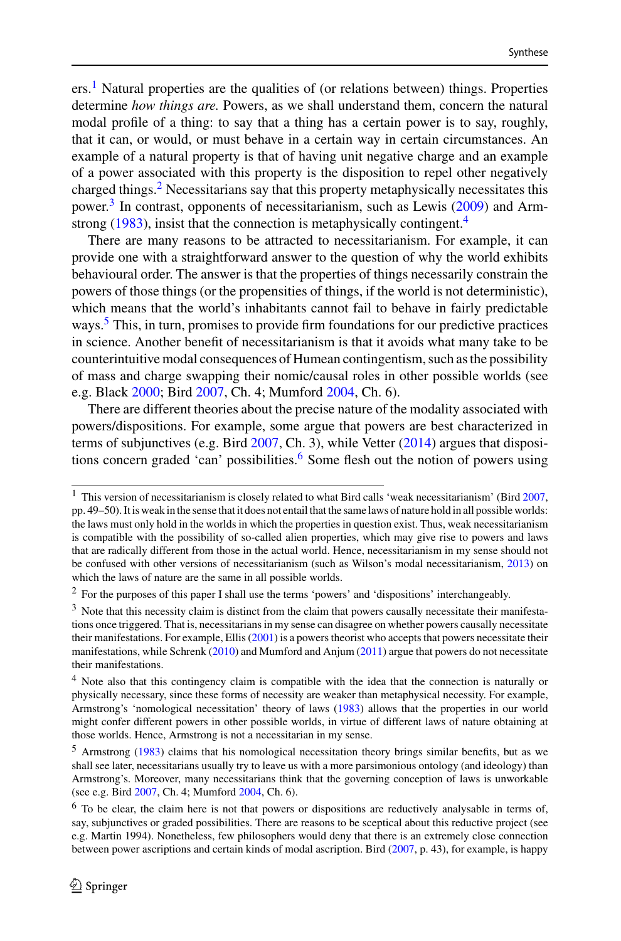ers.<sup>1</sup> Natural properties are the qualities of (or relations between) things. Properties determine *how things are.* Powers, as we shall understand them, concern the natural modal profile of a thing: to say that a thing has a certain power is to say, roughly, that it can, or would, or must behave in a certain way in certain circumstances. An example of a natural property is that of having unit negative charge and an example of a power associated with this property is the disposition to repel other negatively charged things.<sup>2</sup> Necessitarians say that this property metaphysically necessitates this power.<sup>[3](#page-2-2)</sup> In contrast, opponents of necessitarianism, such as Lewis  $(2009)$  and Arm-strong [\(1983\)](#page-28-0), insist that the connection is metaphysically contingent.<sup>4</sup>

There are many reasons to be attracted to necessitarianism. For example, it can provide one with a straightforward answer to the question of why the world exhibits behavioural order. The answer is that the properties of things necessarily constrain the powers of those things (or the propensities of things, if the world is not deterministic), which means that the world's inhabitants cannot fail to behave in fairly predictable ways.<sup>[5](#page-2-4)</sup> This, in turn, promises to provide firm foundations for our predictive practices in science. Another benefit of necessitarianism is that it avoids what many take to be counterintuitive modal consequences of Humean contingentism, such as the possibility of mass and charge swapping their nomic/causal roles in other possible worlds (see e.g. Black [2000;](#page-28-1) Bird [2007,](#page-28-2) Ch. 4; Mumford [2004,](#page-29-1) Ch. 6).

There are different theories about the precise nature of the modality associated with powers/dispositions. For example, some argue that powers are best characterized in terms of subjunctives (e.g. Bird [2007,](#page-28-2) Ch. 3), while Vetter [\(2014\)](#page-30-0) argues that dispositions concern graded 'can' possibilities.<sup>6</sup> Some flesh out the notion of powers using

<span id="page-2-0"></span><sup>&</sup>lt;sup>1</sup> This version of necessitarianism is closely related to what Bird calls 'weak necessitarianism' (Bird [2007,](#page-28-2) pp. 49–50). It is weak in the sense that it does not entail that the same laws of nature hold in all possible worlds: the laws must only hold in the worlds in which the properties in question exist. Thus, weak necessitarianism is compatible with the possibility of so-called alien properties, which may give rise to powers and laws that are radically different from those in the actual world. Hence, necessitarianism in my sense should not be confused with other versions of necessitarianism (such as Wilson's modal necessitarianism, [2013\)](#page-30-1) on which the laws of nature are the same in all possible worlds.

<span id="page-2-2"></span><span id="page-2-1"></span><sup>2</sup> For the purposes of this paper I shall use the terms 'powers' and 'dispositions' interchangeably.

<sup>&</sup>lt;sup>3</sup> Note that this necessity claim is distinct from the claim that powers causally necessitate their manifestations once triggered. That is, necessitarians in my sense can disagree on whether powers causally necessitate their manifestations. For example, Ellis [\(2001\)](#page-28-3) is a powers theorist who accepts that powers necessitate their manifestations, while Schrenk [\(2010\)](#page-30-2) and Mumford and Anjum [\(2011\)](#page-29-2) argue that powers do not necessitate their manifestations.

<span id="page-2-3"></span><sup>4</sup> Note also that this contingency claim is compatible with the idea that the connection is naturally or physically necessary, since these forms of necessity are weaker than metaphysical necessity. For example, Armstrong's 'nomological necessitation' theory of laws [\(1983\)](#page-28-0) allows that the properties in our world might confer different powers in other possible worlds, in virtue of different laws of nature obtaining at those worlds. Hence, Armstrong is not a necessitarian in my sense.

<span id="page-2-4"></span><sup>5</sup> Armstrong [\(1983\)](#page-28-0) claims that his nomological necessitation theory brings similar benefits, but as we shall see later, necessitarians usually try to leave us with a more parsimonious ontology (and ideology) than Armstrong's. Moreover, many necessitarians think that the governing conception of laws is unworkable (see e.g. Bird [2007,](#page-28-2) Ch. 4; Mumford [2004,](#page-29-1) Ch. 6).

<span id="page-2-5"></span> $6$  To be clear, the claim here is not that powers or dispositions are reductively analysable in terms of, say, subjunctives or graded possibilities. There are reasons to be sceptical about this reductive project (see e.g. Martin 1994). Nonetheless, few philosophers would deny that there is an extremely close connection between power ascriptions and certain kinds of modal ascription. Bird [\(2007,](#page-28-2) p. 43), for example, is happy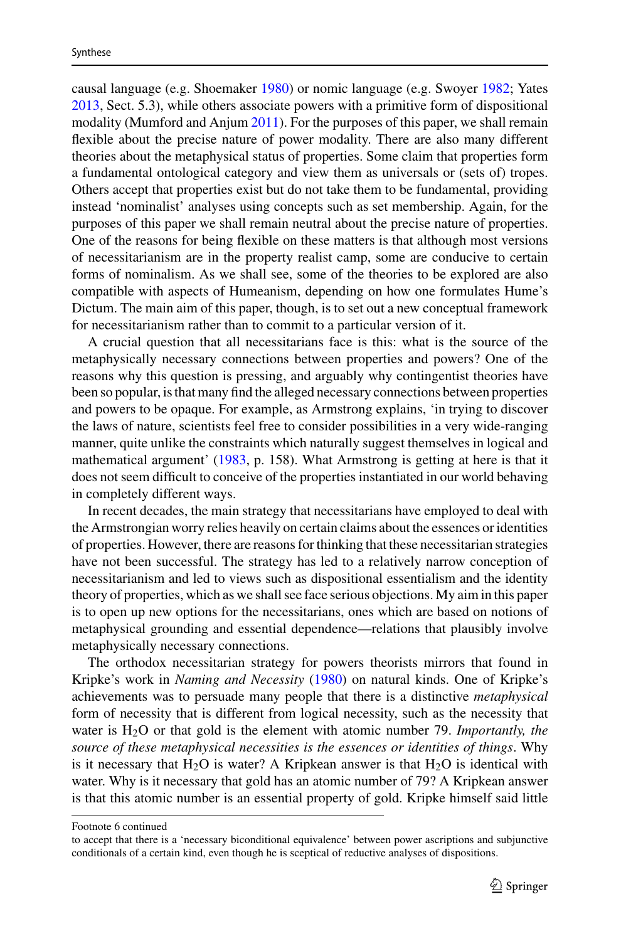causal language (e.g. Shoemaker [1980\)](#page-30-3) or nomic language (e.g. Swoyer [1982;](#page-30-4) Yates [2013,](#page-30-5) Sect. 5.3), while others associate powers with a primitive form of dispositional modality (Mumford and Anjum [2011\)](#page-29-2). For the purposes of this paper, we shall remain flexible about the precise nature of power modality. There are also many different theories about the metaphysical status of properties. Some claim that properties form a fundamental ontological category and view them as universals or (sets of) tropes. Others accept that properties exist but do not take them to be fundamental, providing instead 'nominalist' analyses using concepts such as set membership. Again, for the purposes of this paper we shall remain neutral about the precise nature of properties. One of the reasons for being flexible on these matters is that although most versions of necessitarianism are in the property realist camp, some are conducive to certain forms of nominalism. As we shall see, some of the theories to be explored are also compatible with aspects of Humeanism, depending on how one formulates Hume's Dictum. The main aim of this paper, though, is to set out a new conceptual framework for necessitarianism rather than to commit to a particular version of it.

A crucial question that all necessitarians face is this: what is the source of the metaphysically necessary connections between properties and powers? One of the reasons why this question is pressing, and arguably why contingentist theories have been so popular, is that many find the alleged necessary connections between properties and powers to be opaque. For example, as Armstrong explains, 'in trying to discover the laws of nature, scientists feel free to consider possibilities in a very wide-ranging manner, quite unlike the constraints which naturally suggest themselves in logical and mathematical argument' [\(1983,](#page-28-0) p. 158). What Armstrong is getting at here is that it does not seem difficult to conceive of the properties instantiated in our world behaving in completely different ways.

In recent decades, the main strategy that necessitarians have employed to deal with the Armstrongian worry relies heavily on certain claims about the essences or identities of properties. However, there are reasons for thinking that these necessitarian strategies have not been successful. The strategy has led to a relatively narrow conception of necessitarianism and led to views such as dispositional essentialism and the identity theory of properties, which as we shall see face serious objections. My aim in this paper is to open up new options for the necessitarians, ones which are based on notions of metaphysical grounding and essential dependence—relations that plausibly involve metaphysically necessary connections.

The orthodox necessitarian strategy for powers theorists mirrors that found in Kripke's work in *Naming and Necessity* [\(1980\)](#page-29-3) on natural kinds. One of Kripke's achievements was to persuade many people that there is a distinctive *metaphysical* form of necessity that is different from logical necessity, such as the necessity that water is H2O or that gold is the element with atomic number 79. *Importantly, the source of these metaphysical necessities is the essences or identities of things*. Why is it necessary that  $H_2O$  is water? A Kripkean answer is that  $H_2O$  is identical with water. Why is it necessary that gold has an atomic number of 79? A Kripkean answer is that this atomic number is an essential property of gold. Kripke himself said little

Footnote 6 continued

to accept that there is a 'necessary biconditional equivalence' between power ascriptions and subjunctive conditionals of a certain kind, even though he is sceptical of reductive analyses of dispositions.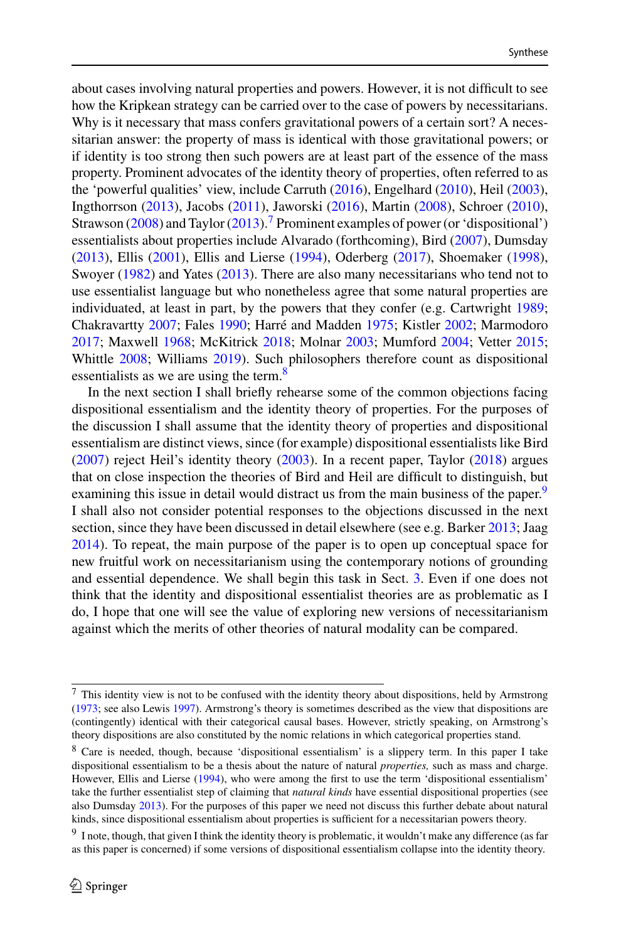about cases involving natural properties and powers. However, it is not difficult to see how the Kripkean strategy can be carried over to the case of powers by necessitarians. Why is it necessary that mass confers gravitational powers of a certain sort? A necessitarian answer: the property of mass is identical with those gravitational powers; or if identity is too strong then such powers are at least part of the essence of the mass property. Prominent advocates of the identity theory of properties, often referred to as the 'powerful qualities' view, include Carruth [\(2016\)](#page-28-4), Engelhard [\(2010\)](#page-29-4), Heil [\(2003\)](#page-29-5), Ingthorrson [\(2013\)](#page-29-6), Jacobs [\(2011\)](#page-29-7), Jaworski [\(2016\)](#page-29-8), Martin [\(2008\)](#page-29-9), Schroer [\(2010\)](#page-30-6), Strawson [\(2008\)](#page-30-7) and Taylor [\(2013\)](#page-30-8).<sup>7</sup> Prominent examples of power (or 'dispositional') essentialists about properties include Alvarado (forthcoming), Bird [\(2007\)](#page-28-2), Dumsday [\(2013\)](#page-28-5), Ellis [\(2001\)](#page-28-3), Ellis and Lierse [\(1994\)](#page-28-6), Oderberg [\(2017\)](#page-29-10), Shoemaker [\(1998\)](#page-30-9), Swoyer [\(1982\)](#page-30-4) and Yates [\(2013\)](#page-30-5). There are also many necessitarians who tend not to use essentialist language but who nonetheless agree that some natural properties are individuated, at least in part, by the powers that they confer (e.g. Cartwright [1989;](#page-28-7) Chakravartty [2007;](#page-28-8) Fales [1990;](#page-29-11) Harré and Madden [1975;](#page-29-12) Kistler [2002;](#page-29-13) Marmodoro [2017;](#page-29-14) Maxwell [1968;](#page-29-15) McKitrick [2018;](#page-29-16) Molnar [2003;](#page-29-17) Mumford [2004;](#page-29-1) Vetter [2015;](#page-30-10) Whittle [2008;](#page-30-11) Williams [2019\)](#page-30-12). Such philosophers therefore count as dispositional essentialists as we are using the term.<sup>8</sup>

In the next section I shall briefly rehearse some of the common objections facing dispositional essentialism and the identity theory of properties. For the purposes of the discussion I shall assume that the identity theory of properties and dispositional essentialism are distinct views, since (for example) dispositional essentialists like Bird [\(2007\)](#page-28-2) reject Heil's identity theory [\(2003\)](#page-29-5). In a recent paper, Taylor [\(2018\)](#page-30-13) argues that on close inspection the theories of Bird and Heil are difficult to distinguish, but examining this issue in detail would distract us from the main business of the paper.<sup>9</sup> I shall also not consider potential responses to the objections discussed in the next section, since they have been discussed in detail elsewhere (see e.g. Barker [2013;](#page-28-9) Jaag [2014\)](#page-29-18). To repeat, the main purpose of the paper is to open up conceptual space for new fruitful work on necessitarianism using the contemporary notions of grounding and essential dependence. We shall begin this task in Sect. [3.](#page-7-0) Even if one does not think that the identity and dispositional essentialist theories are as problematic as I do, I hope that one will see the value of exploring new versions of necessitarianism against which the merits of other theories of natural modality can be compared.

<span id="page-4-0"></span><sup>7</sup> This identity view is not to be confused with the identity theory about dispositions, held by Armstrong [\(1973;](#page-28-10) see also Lewis [1997\)](#page-29-19). Armstrong's theory is sometimes described as the view that dispositions are (contingently) identical with their categorical causal bases. However, strictly speaking, on Armstrong's theory dispositions are also constituted by the nomic relations in which categorical properties stand.

<span id="page-4-1"></span><sup>8</sup> Care is needed, though, because 'dispositional essentialism' is a slippery term. In this paper I take dispositional essentialism to be a thesis about the nature of natural *properties,* such as mass and charge. However, Ellis and Lierse [\(1994\)](#page-28-6), who were among the first to use the term 'dispositional essentialism' take the further essentialist step of claiming that *natural kinds* have essential dispositional properties (see also Dumsday [2013\)](#page-28-5). For the purposes of this paper we need not discuss this further debate about natural kinds, since dispositional essentialism about properties is sufficient for a necessitarian powers theory.

<span id="page-4-2"></span><sup>&</sup>lt;sup>9</sup> I note, though, that given I think the identity theory is problematic, it wouldn't make any difference (as far as this paper is concerned) if some versions of dispositional essentialism collapse into the identity theory.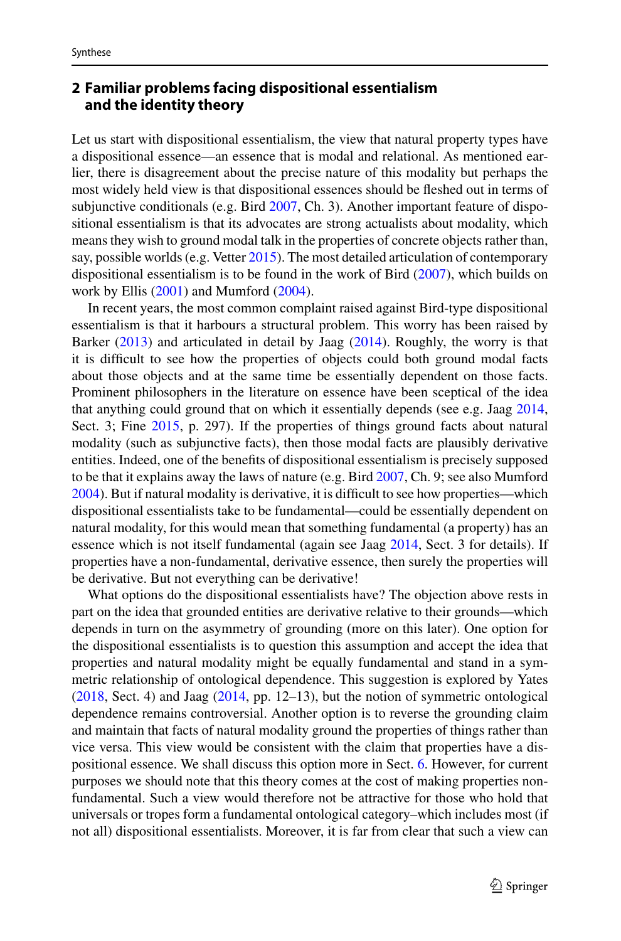### <span id="page-5-0"></span>**2 Familiar problems facing dispositional essentialism and the identity theory**

Let us start with dispositional essentialism, the view that natural property types have a dispositional essence—an essence that is modal and relational. As mentioned earlier, there is disagreement about the precise nature of this modality but perhaps the most widely held view is that dispositional essences should be fleshed out in terms of subjunctive conditionals (e.g. Bird [2007,](#page-28-2) Ch. 3). Another important feature of dispositional essentialism is that its advocates are strong actualists about modality, which means they wish to ground modal talk in the properties of concrete objects rather than, say, possible worlds (e.g. Vetter [2015\)](#page-30-10). The most detailed articulation of contemporary dispositional essentialism is to be found in the work of Bird [\(2007\)](#page-28-2), which builds on work by Ellis [\(2001\)](#page-28-3) and Mumford [\(2004\)](#page-29-1).

In recent years, the most common complaint raised against Bird-type dispositional essentialism is that it harbours a structural problem. This worry has been raised by Barker [\(2013\)](#page-28-9) and articulated in detail by Jaag [\(2014\)](#page-29-18). Roughly, the worry is that it is difficult to see how the properties of objects could both ground modal facts about those objects and at the same time be essentially dependent on those facts. Prominent philosophers in the literature on essence have been sceptical of the idea that anything could ground that on which it essentially depends (see e.g. Jaag [2014,](#page-29-18) Sect. 3; Fine  $2015$ , p. 297). If the properties of things ground facts about natural modality (such as subjunctive facts), then those modal facts are plausibly derivative entities. Indeed, one of the benefits of dispositional essentialism is precisely supposed to be that it explains away the laws of nature (e.g. Bird [2007,](#page-28-2) Ch. 9; see also Mumford [2004\)](#page-29-1). But if natural modality is derivative, it is difficult to see how properties—which dispositional essentialists take to be fundamental—could be essentially dependent on natural modality, for this would mean that something fundamental (a property) has an essence which is not itself fundamental (again see Jaag [2014,](#page-29-18) Sect. 3 for details). If properties have a non-fundamental, derivative essence, then surely the properties will be derivative. But not everything can be derivative!

What options do the dispositional essentialists have? The objection above rests in part on the idea that grounded entities are derivative relative to their grounds—which depends in turn on the asymmetry of grounding (more on this later). One option for the dispositional essentialists is to question this assumption and accept the idea that properties and natural modality might be equally fundamental and stand in a symmetric relationship of ontological dependence. This suggestion is explored by Yates [\(2018,](#page-30-14) Sect. 4) and Jaag [\(2014,](#page-29-18) pp. 12–13), but the notion of symmetric ontological dependence remains controversial. Another option is to reverse the grounding claim and maintain that facts of natural modality ground the properties of things rather than vice versa. This view would be consistent with the claim that properties have a dispositional essence. We shall discuss this option more in Sect. [6.](#page-21-0) However, for current purposes we should note that this theory comes at the cost of making properties nonfundamental. Such a view would therefore not be attractive for those who hold that universals or tropes form a fundamental ontological category–which includes most (if not all) dispositional essentialists. Moreover, it is far from clear that such a view can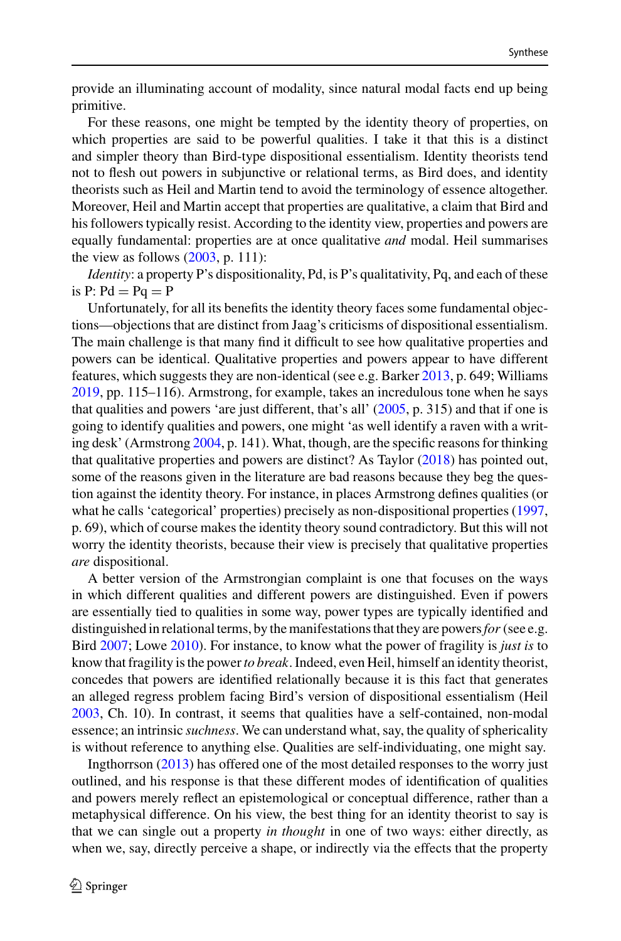provide an illuminating account of modality, since natural modal facts end up being primitive.

For these reasons, one might be tempted by the identity theory of properties, on which properties are said to be powerful qualities. I take it that this is a distinct and simpler theory than Bird-type dispositional essentialism. Identity theorists tend not to flesh out powers in subjunctive or relational terms, as Bird does, and identity theorists such as Heil and Martin tend to avoid the terminology of essence altogether. Moreover, Heil and Martin accept that properties are qualitative, a claim that Bird and his followers typically resist. According to the identity view, properties and powers are equally fundamental: properties are at once qualitative *and* modal. Heil summarises the view as follows  $(2003, p. 111)$  $(2003, p. 111)$ :

*Identity*: a property P's dispositionality, Pd, is P's qualitativity, Pq, and each of these is  $P: Pd = PQ = P$ 

Unfortunately, for all its benefits the identity theory faces some fundamental objections—objections that are distinct from Jaag's criticisms of dispositional essentialism. The main challenge is that many find it difficult to see how qualitative properties and powers can be identical. Qualitative properties and powers appear to have different features, which suggests they are non-identical (see e.g. Barker [2013,](#page-28-9) p. 649; Williams [2019,](#page-30-12) pp. 115–116). Armstrong, for example, takes an incredulous tone when he says that qualities and powers 'are just different, that's all'  $(2005, p. 315)$  $(2005, p. 315)$  and that if one is going to identify qualities and powers, one might 'as well identify a raven with a writing desk' (Armstrong [2004,](#page-28-12) p. 141). What, though, are the specific reasons for thinking that qualitative properties and powers are distinct? As Taylor [\(2018\)](#page-30-13) has pointed out, some of the reasons given in the literature are bad reasons because they beg the question against the identity theory. For instance, in places Armstrong defines qualities (or what he calls 'categorical' properties) precisely as non-dispositional properties [\(1997,](#page-28-13) p. 69), which of course makes the identity theory sound contradictory. But this will not worry the identity theorists, because their view is precisely that qualitative properties *are* dispositional.

A better version of the Armstrongian complaint is one that focuses on the ways in which different qualities and different powers are distinguished. Even if powers are essentially tied to qualities in some way, power types are typically identified and distinguished in relational terms, by the manifestations that they are powers*for* (see e.g. Bird [2007;](#page-28-2) Lowe [2010\)](#page-29-21). For instance, to know what the power of fragility is *just is* to know that fragility is the power*to break*. Indeed, even Heil, himself an identity theorist, concedes that powers are identified relationally because it is this fact that generates an alleged regress problem facing Bird's version of dispositional essentialism (Heil [2003,](#page-29-5) Ch. 10). In contrast, it seems that qualities have a self-contained, non-modal essence; an intrinsic *suchness*. We can understand what, say, the quality of sphericality is without reference to anything else. Qualities are self-individuating, one might say.

Ingthorrson [\(2013\)](#page-29-6) has offered one of the most detailed responses to the worry just outlined, and his response is that these different modes of identification of qualities and powers merely reflect an epistemological or conceptual difference, rather than a metaphysical difference. On his view, the best thing for an identity theorist to say is that we can single out a property *in thought* in one of two ways: either directly, as when we, say, directly perceive a shape, or indirectly via the effects that the property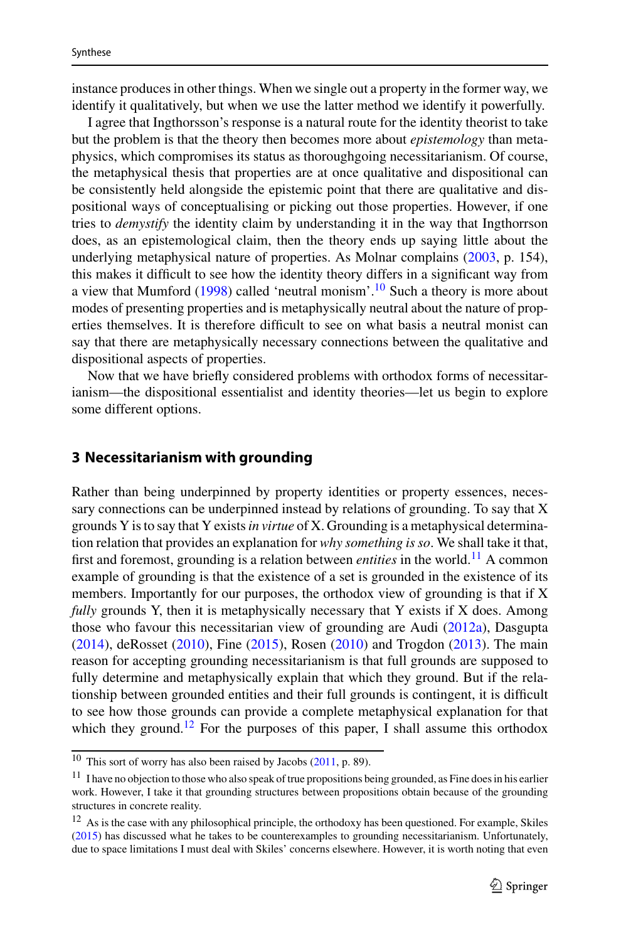instance produces in other things. When we single out a property in the former way, we identify it qualitatively, but when we use the latter method we identify it powerfully.

I agree that Ingthorsson's response is a natural route for the identity theorist to take but the problem is that the theory then becomes more about *epistemology* than metaphysics, which compromises its status as thoroughgoing necessitarianism. Of course, the metaphysical thesis that properties are at once qualitative and dispositional can be consistently held alongside the epistemic point that there are qualitative and dispositional ways of conceptualising or picking out those properties. However, if one tries to *demystify* the identity claim by understanding it in the way that Ingthorrson does, as an epistemological claim, then the theory ends up saying little about the underlying metaphysical nature of properties. As Molnar complains [\(2003,](#page-29-17) p. 154), this makes it difficult to see how the identity theory differs in a significant way from a view that Mumford  $(1998)$  called 'neutral monism'.<sup>10</sup> Such a theory is more about modes of presenting properties and is metaphysically neutral about the nature of properties themselves. It is therefore difficult to see on what basis a neutral monist can say that there are metaphysically necessary connections between the qualitative and dispositional aspects of properties.

Now that we have briefly considered problems with orthodox forms of necessitarianism—the dispositional essentialist and identity theories—let us begin to explore some different options.

#### <span id="page-7-0"></span>**3 Necessitarianism with grounding**

Rather than being underpinned by property identities or property essences, necessary connections can be underpinned instead by relations of grounding. To say that X grounds Y is to say that Y exists*in virtue* of X. Grounding is a metaphysical determination relation that provides an explanation for *why something is so*. We shall take it that, first and foremost, grounding is a relation between *entities* in the world.[11](#page-7-2) A common example of grounding is that the existence of a set is grounded in the existence of its members. Importantly for our purposes, the orthodox view of grounding is that if X *fully* grounds Y, then it is metaphysically necessary that Y exists if X does. Among those who favour this necessitarian view of grounding are Audi [\(2012a\)](#page-28-14), Dasgupta [\(2014\)](#page-28-15), deRosset [\(2010\)](#page-28-16), Fine [\(2015\)](#page-29-20), Rosen [\(2010\)](#page-30-15) and Trogdon [\(2013\)](#page-30-16). The main reason for accepting grounding necessitarianism is that full grounds are supposed to fully determine and metaphysically explain that which they ground. But if the relationship between grounded entities and their full grounds is contingent, it is difficult to see how those grounds can provide a complete metaphysical explanation for that which they ground.<sup>[12](#page-7-3)</sup> For the purposes of this paper, I shall assume this orthodox

<span id="page-7-2"></span><span id="page-7-1"></span><sup>10</sup> This sort of worry has also been raised by Jacobs [\(2011,](#page-29-7) p. 89).

 $11$  I have no objection to those who also speak of true propositions being grounded, as Fine does in his earlier work. However, I take it that grounding structures between propositions obtain because of the grounding structures in concrete reality.

<span id="page-7-3"></span><sup>&</sup>lt;sup>12</sup> As is the case with any philosophical principle, the orthodoxy has been questioned. For example, Skiles [\(2015\)](#page-30-17) has discussed what he takes to be counterexamples to grounding necessitarianism. Unfortunately, due to space limitations I must deal with Skiles' concerns elsewhere. However, it is worth noting that even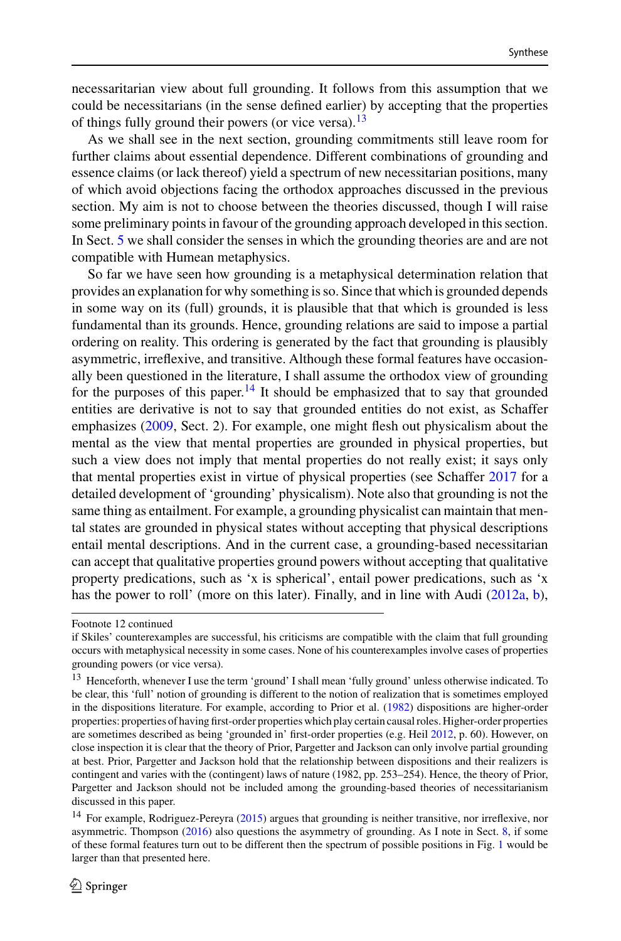necessaritarian view about full grounding. It follows from this assumption that we could be necessitarians (in the sense defined earlier) by accepting that the properties of things fully ground their powers (or vice versa).<sup>13</sup>

As we shall see in the next section, grounding commitments still leave room for further claims about essential dependence. Different combinations of grounding and essence claims (or lack thereof) yield a spectrum of new necessitarian positions, many of which avoid objections facing the orthodox approaches discussed in the previous section. My aim is not to choose between the theories discussed, though I will raise some preliminary points in favour of the grounding approach developed in this section. In Sect. [5](#page-17-0) we shall consider the senses in which the grounding theories are and are not compatible with Humean metaphysics.

So far we have seen how grounding is a metaphysical determination relation that provides an explanation for why something is so. Since that which is grounded depends in some way on its (full) grounds, it is plausible that that which is grounded is less fundamental than its grounds. Hence, grounding relations are said to impose a partial ordering on reality. This ordering is generated by the fact that grounding is plausibly asymmetric, irreflexive, and transitive. Although these formal features have occasionally been questioned in the literature, I shall assume the orthodox view of grounding for the purposes of this paper.<sup>14</sup> It should be emphasized that to say that grounded entities are derivative is not to say that grounded entities do not exist, as Schaffer emphasizes [\(2009,](#page-30-18) Sect. 2). For example, one might flesh out physicalism about the mental as the view that mental properties are grounded in physical properties, but such a view does not imply that mental properties do not really exist; it says only that mental properties exist in virtue of physical properties (see Schaffer [2017](#page-30-19) for a detailed development of 'grounding' physicalism). Note also that grounding is not the same thing as entailment. For example, a grounding physicalist can maintain that mental states are grounded in physical states without accepting that physical descriptions entail mental descriptions. And in the current case, a grounding-based necessitarian can accept that qualitative properties ground powers without accepting that qualitative property predications, such as 'x is spherical', entail power predications, such as 'x has the power to roll' (more on this later). Finally, and in line with Audi [\(2012a,](#page-28-14) [b\)](#page-28-17),

Footnote 12 continued

if Skiles' counterexamples are successful, his criticisms are compatible with the claim that full grounding occurs with metaphysical necessity in some cases. None of his counterexamples involve cases of properties grounding powers (or vice versa).

<span id="page-8-0"></span><sup>&</sup>lt;sup>13</sup> Henceforth, whenever I use the term 'ground' I shall mean 'fully ground' unless otherwise indicated. To be clear, this 'full' notion of grounding is different to the notion of realization that is sometimes employed in the dispositions literature. For example, according to Prior et al. [\(1982\)](#page-29-23) dispositions are higher-order properties: properties of having first-order properties which play certain causal roles. Higher-order properties are sometimes described as being 'grounded in' first-order properties (e.g. Heil [2012,](#page-29-24) p. 60). However, on close inspection it is clear that the theory of Prior, Pargetter and Jackson can only involve partial grounding at best. Prior, Pargetter and Jackson hold that the relationship between dispositions and their realizers is contingent and varies with the (contingent) laws of nature (1982, pp. 253–254). Hence, the theory of Prior, Pargetter and Jackson should not be included among the grounding-based theories of necessitarianism discussed in this paper.

<span id="page-8-1"></span><sup>&</sup>lt;sup>14</sup> For example, Rodriguez-Pereyra [\(2015\)](#page-30-20) argues that grounding is neither transitive, nor irreflexive, nor asymmetric. Thompson [\(2016\)](#page-30-21) also questions the asymmetry of grounding. As I note in Sect. [8,](#page-23-0) if some of these formal features turn out to be different then the spectrum of possible positions in Fig. [1](#page-26-0) would be larger than that presented here.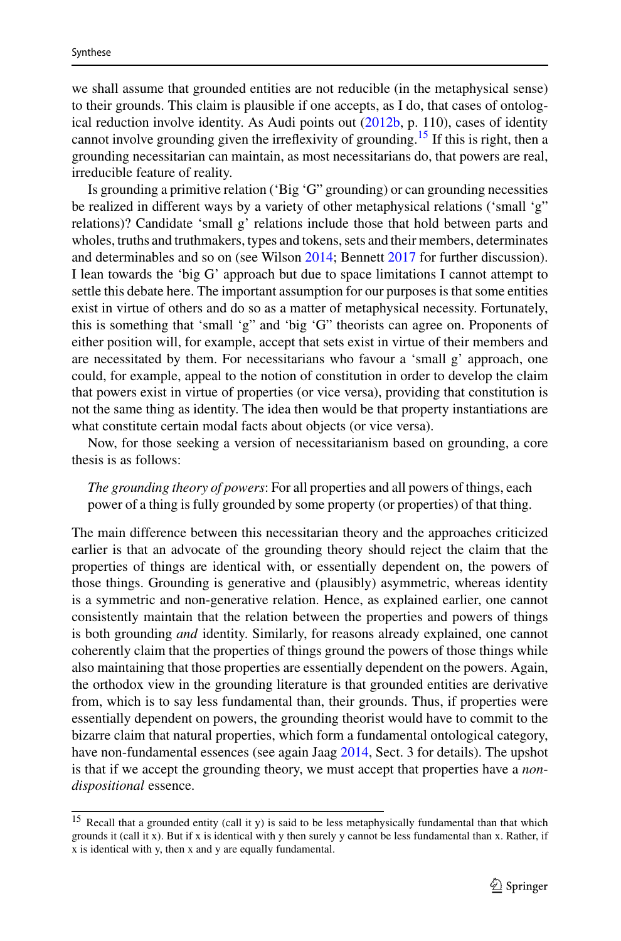we shall assume that grounded entities are not reducible (in the metaphysical sense) to their grounds. This claim is plausible if one accepts, as I do, that cases of ontological reduction involve identity. As Audi points out  $(2012b, p. 110)$  $(2012b, p. 110)$ , cases of identity cannot involve grounding given the irreflexivity of grounding.<sup>[15](#page-9-0)</sup> If this is right, then a grounding necessitarian can maintain, as most necessitarians do, that powers are real, irreducible feature of reality.

Is grounding a primitive relation ('Big 'G" grounding) or can grounding necessities be realized in different ways by a variety of other metaphysical relations ('small 'g" relations)? Candidate 'small g' relations include those that hold between parts and wholes, truths and truthmakers, types and tokens, sets and their members, determinates and determinables and so on (see Wilson [2014;](#page-30-22) Bennett [2017](#page-28-18) for further discussion). I lean towards the 'big G' approach but due to space limitations I cannot attempt to settle this debate here. The important assumption for our purposes is that some entities exist in virtue of others and do so as a matter of metaphysical necessity. Fortunately, this is something that 'small 'g" and 'big 'G" theorists can agree on. Proponents of either position will, for example, accept that sets exist in virtue of their members and are necessitated by them. For necessitarians who favour a 'small g' approach, one could, for example, appeal to the notion of constitution in order to develop the claim that powers exist in virtue of properties (or vice versa), providing that constitution is not the same thing as identity. The idea then would be that property instantiations are what constitute certain modal facts about objects (or vice versa).

Now, for those seeking a version of necessitarianism based on grounding, a core thesis is as follows:

*The grounding theory of powers*: For all properties and all powers of things, each power of a thing is fully grounded by some property (or properties) of that thing.

The main difference between this necessitarian theory and the approaches criticized earlier is that an advocate of the grounding theory should reject the claim that the properties of things are identical with, or essentially dependent on, the powers of those things. Grounding is generative and (plausibly) asymmetric, whereas identity is a symmetric and non-generative relation. Hence, as explained earlier, one cannot consistently maintain that the relation between the properties and powers of things is both grounding *and* identity. Similarly, for reasons already explained, one cannot coherently claim that the properties of things ground the powers of those things while also maintaining that those properties are essentially dependent on the powers. Again, the orthodox view in the grounding literature is that grounded entities are derivative from, which is to say less fundamental than, their grounds. Thus, if properties were essentially dependent on powers, the grounding theorist would have to commit to the bizarre claim that natural properties, which form a fundamental ontological category, have non-fundamental essences (see again Jaag [2014,](#page-29-18) Sect. 3 for details). The upshot is that if we accept the grounding theory, we must accept that properties have a *nondispositional* essence.

<span id="page-9-0"></span><sup>15</sup> Recall that a grounded entity (call it y) is said to be less metaphysically fundamental than that which grounds it (call it x). But if x is identical with y then surely y cannot be less fundamental than x. Rather, if x is identical with y, then x and y are equally fundamental.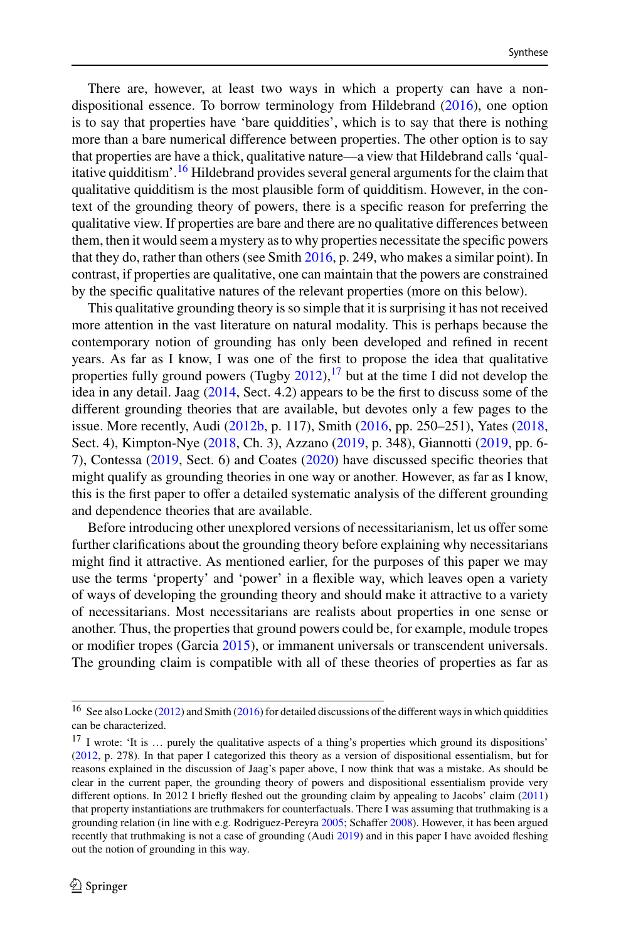There are, however, at least two ways in which a property can have a nondispositional essence. To borrow terminology from Hildebrand [\(2016\)](#page-29-25), one option is to say that properties have 'bare quiddities', which is to say that there is nothing more than a bare numerical difference between properties. The other option is to say that properties are have a thick, qualitative nature—a view that Hildebrand calls 'qualitative quidditism'.[16](#page-10-0) Hildebrand provides several general arguments for the claim that qualitative quidditism is the most plausible form of quidditism. However, in the context of the grounding theory of powers, there is a specific reason for preferring the qualitative view. If properties are bare and there are no qualitative differences between them, then it would seem a mystery as to why properties necessitate the specific powers that they do, rather than others (see Smith [2016,](#page-30-23) p. 249, who makes a similar point). In contrast, if properties are qualitative, one can maintain that the powers are constrained by the specific qualitative natures of the relevant properties (more on this below).

This qualitative grounding theory is so simple that it is surprising it has not received more attention in the vast literature on natural modality. This is perhaps because the contemporary notion of grounding has only been developed and refined in recent years. As far as I know, I was one of the first to propose the idea that qualitative properties fully ground powers (Tugby  $2012$ ), <sup>[17](#page-10-1)</sup> but at the time I did not develop the idea in any detail. Jaag [\(2014,](#page-29-18) Sect. 4.2) appears to be the first to discuss some of the different grounding theories that are available, but devotes only a few pages to the issue. More recently, Audi [\(2012b,](#page-28-17) p. 117), Smith [\(2016,](#page-30-23) pp. 250–251), Yates [\(2018,](#page-30-14) Sect. 4), Kimpton-Nye [\(2018,](#page-29-26) Ch. 3), Azzano [\(2019,](#page-28-19) p. 348), Giannotti [\(2019,](#page-29-27) pp. 6- 7), Contessa [\(2019,](#page-28-20) Sect. 6) and Coates [\(2020\)](#page-28-21) have discussed specific theories that might qualify as grounding theories in one way or another. However, as far as I know, this is the first paper to offer a detailed systematic analysis of the different grounding and dependence theories that are available.

Before introducing other unexplored versions of necessitarianism, let us offer some further clarifications about the grounding theory before explaining why necessitarians might find it attractive. As mentioned earlier, for the purposes of this paper we may use the terms 'property' and 'power' in a flexible way, which leaves open a variety of ways of developing the grounding theory and should make it attractive to a variety of necessitarians. Most necessitarians are realists about properties in one sense or another. Thus, the properties that ground powers could be, for example, module tropes or modifier tropes (Garcia [2015\)](#page-29-28), or immanent universals or transcendent universals. The grounding claim is compatible with all of these theories of properties as far as

<span id="page-10-1"></span><span id="page-10-0"></span><sup>&</sup>lt;sup>16</sup> See also Locke [\(2012\)](#page-29-29) and Smith [\(2016\)](#page-30-23) for detailed discussions of the different ways in which quiddities can be characterized.

<sup>&</sup>lt;sup>17</sup> I wrote: 'It is ... purely the qualitative aspects of a thing's properties which ground its dispositions' [\(2012,](#page-30-24) p. 278). In that paper I categorized this theory as a version of dispositional essentialism, but for reasons explained in the discussion of Jaag's paper above, I now think that was a mistake. As should be clear in the current paper, the grounding theory of powers and dispositional essentialism provide very different options. In 2012 I briefly fleshed out the grounding claim by appealing to Jacobs' claim [\(2011\)](#page-29-7) that property instantiations are truthmakers for counterfactuals. There I was assuming that truthmaking is a grounding relation (in line with e.g. Rodriguez-Pereyra [2005;](#page-30-25) Schaffer [2008\)](#page-30-26). However, it has been argued recently that truthmaking is not a case of grounding  $(Audi 2019)$  $(Audi 2019)$  and in this paper I have avoided fleshing out the notion of grounding in this way.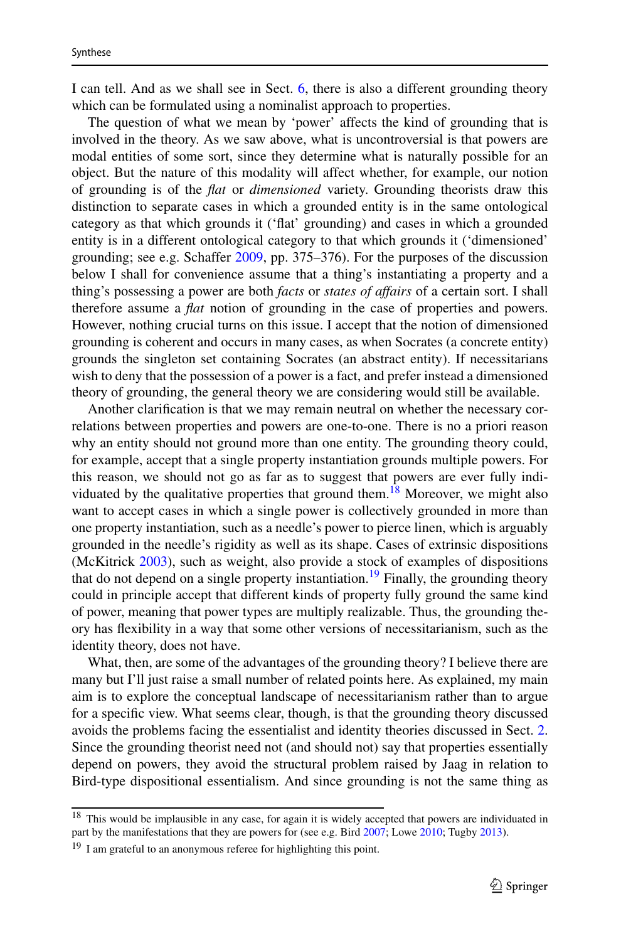I can tell. And as we shall see in Sect. [6,](#page-17-0) there is also a different grounding theory which can be formulated using a nominalist approach to properties.

The question of what we mean by 'power' affects the kind of grounding that is involved in the theory. As we saw above, what is uncontroversial is that powers are modal entities of some sort, since they determine what is naturally possible for an object. But the nature of this modality will affect whether, for example, our notion of grounding is of the *flat* or *dimensioned* variety. Grounding theorists draw this distinction to separate cases in which a grounded entity is in the same ontological category as that which grounds it ('flat' grounding) and cases in which a grounded entity is in a different ontological category to that which grounds it ('dimensioned' grounding; see e.g. Schaffer [2009,](#page-30-18) pp. 375–376). For the purposes of the discussion below I shall for convenience assume that a thing's instantiating a property and a thing's possessing a power are both *facts* or *states of affairs* of a certain sort. I shall therefore assume a *flat* notion of grounding in the case of properties and powers. However, nothing crucial turns on this issue. I accept that the notion of dimensioned grounding is coherent and occurs in many cases, as when Socrates (a concrete entity) grounds the singleton set containing Socrates (an abstract entity). If necessitarians wish to deny that the possession of a power is a fact, and prefer instead a dimensioned theory of grounding, the general theory we are considering would still be available.

Another clarification is that we may remain neutral on whether the necessary correlations between properties and powers are one-to-one. There is no a priori reason why an entity should not ground more than one entity. The grounding theory could, for example, accept that a single property instantiation grounds multiple powers. For this reason, we should not go as far as to suggest that powers are ever fully indi-viduated by the qualitative properties that ground them.<sup>[18](#page-11-0)</sup> Moreover, we might also want to accept cases in which a single power is collectively grounded in more than one property instantiation, such as a needle's power to pierce linen, which is arguably grounded in the needle's rigidity as well as its shape. Cases of extrinsic dispositions (McKitrick [2003\)](#page-29-30), such as weight, also provide a stock of examples of dispositions that do not depend on a single property instantiation.<sup>[19](#page-11-1)</sup> Finally, the grounding theory could in principle accept that different kinds of property fully ground the same kind of power, meaning that power types are multiply realizable. Thus, the grounding theory has flexibility in a way that some other versions of necessitarianism, such as the identity theory, does not have.

What, then, are some of the advantages of the grounding theory? I believe there are many but I'll just raise a small number of related points here. As explained, my main aim is to explore the conceptual landscape of necessitarianism rather than to argue for a specific view. What seems clear, though, is that the grounding theory discussed avoids the problems facing the essentialist and identity theories discussed in Sect. [2.](#page-5-0) Since the grounding theorist need not (and should not) say that properties essentially depend on powers, they avoid the structural problem raised by Jaag in relation to Bird-type dispositional essentialism. And since grounding is not the same thing as

<span id="page-11-1"></span><span id="page-11-0"></span><sup>&</sup>lt;sup>18</sup> This would be implausible in any case, for again it is widely accepted that powers are individuated in part by the manifestations that they are powers for (see e.g. Bird [2007;](#page-28-2) Lowe [2010;](#page-29-21) Tugby [2013\)](#page-30-27).

<sup>&</sup>lt;sup>19</sup> I am grateful to an anonymous referee for highlighting this point.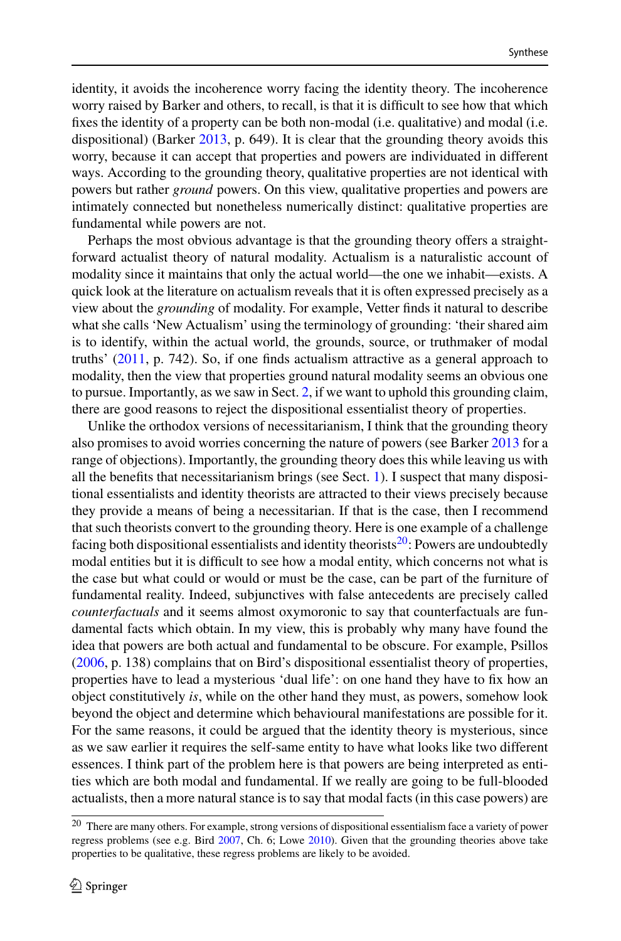identity, it avoids the incoherence worry facing the identity theory. The incoherence worry raised by Barker and others, to recall, is that it is difficult to see how that which fixes the identity of a property can be both non-modal (i.e. qualitative) and modal (i.e. dispositional) (Barker [2013,](#page-28-9) p. 649). It is clear that the grounding theory avoids this worry, because it can accept that properties and powers are individuated in different ways. According to the grounding theory, qualitative properties are not identical with powers but rather *ground* powers. On this view, qualitative properties and powers are intimately connected but nonetheless numerically distinct: qualitative properties are fundamental while powers are not.

Perhaps the most obvious advantage is that the grounding theory offers a straightforward actualist theory of natural modality. Actualism is a naturalistic account of modality since it maintains that only the actual world—the one we inhabit—exists. A quick look at the literature on actualism reveals that it is often expressed precisely as a view about the *grounding* of modality. For example, Vetter finds it natural to describe what she calls 'New Actualism' using the terminology of grounding: 'their shared aim is to identify, within the actual world, the grounds, source, or truthmaker of modal truths' [\(2011,](#page-30-28) p. 742). So, if one finds actualism attractive as a general approach to modality, then the view that properties ground natural modality seems an obvious one to pursue. Importantly, as we saw in Sect. [2,](#page-5-0) if we want to uphold this grounding claim, there are good reasons to reject the dispositional essentialist theory of properties.

Unlike the orthodox versions of necessitarianism, I think that the grounding theory also promises to avoid worries concerning the nature of powers (see Barker [2013](#page-28-9) for a range of objections). Importantly, the grounding theory does this while leaving us with all the benefits that necessitarianism brings (see Sect. [1\)](#page-1-0). I suspect that many dispositional essentialists and identity theorists are attracted to their views precisely because they provide a means of being a necessitarian. If that is the case, then I recommend that such theorists convert to the grounding theory. Here is one example of a challenge facing both dispositional essentialists and identity theorists $20$ : Powers are undoubtedly modal entities but it is difficult to see how a modal entity, which concerns not what is the case but what could or would or must be the case, can be part of the furniture of fundamental reality. Indeed, subjunctives with false antecedents are precisely called *counterfactuals* and it seems almost oxymoronic to say that counterfactuals are fundamental facts which obtain. In my view, this is probably why many have found the idea that powers are both actual and fundamental to be obscure. For example, Psillos [\(2006,](#page-29-31) p. 138) complains that on Bird's dispositional essentialist theory of properties, properties have to lead a mysterious 'dual life': on one hand they have to fix how an object constitutively *is*, while on the other hand they must, as powers, somehow look beyond the object and determine which behavioural manifestations are possible for it. For the same reasons, it could be argued that the identity theory is mysterious, since as we saw earlier it requires the self-same entity to have what looks like two different essences. I think part of the problem here is that powers are being interpreted as entities which are both modal and fundamental. If we really are going to be full-blooded actualists, then a more natural stance is to say that modal facts (in this case powers) are

<span id="page-12-0"></span><sup>20</sup> There are many others. For example, strong versions of dispositional essentialism face a variety of power regress problems (see e.g. Bird [2007,](#page-28-2) Ch. 6; Lowe [2010\)](#page-29-21). Given that the grounding theories above take properties to be qualitative, these regress problems are likely to be avoided.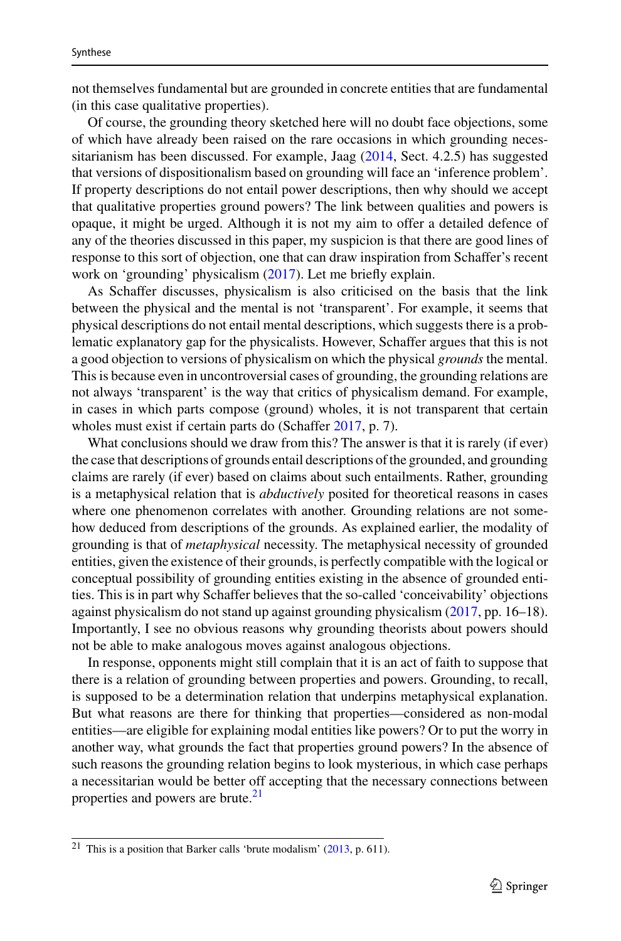not themselves fundamental but are grounded in concrete entities that are fundamental (in this case qualitative properties).

Of course, the grounding theory sketched here will no doubt face objections, some of which have already been raised on the rare occasions in which grounding necessitarianism has been discussed. For example, Jaag  $(2014, \text{Sect. } 4.2.5)$  $(2014, \text{Sect. } 4.2.5)$  has suggested that versions of dispositionalism based on grounding will face an 'inference problem'. If property descriptions do not entail power descriptions, then why should we accept that qualitative properties ground powers? The link between qualities and powers is opaque, it might be urged. Although it is not my aim to offer a detailed defence of any of the theories discussed in this paper, my suspicion is that there are good lines of response to this sort of objection, one that can draw inspiration from Schaffer's recent work on 'grounding' physicalism [\(2017\)](#page-30-19). Let me briefly explain.

As Schaffer discusses, physicalism is also criticised on the basis that the link between the physical and the mental is not 'transparent'. For example, it seems that physical descriptions do not entail mental descriptions, which suggests there is a problematic explanatory gap for the physicalists. However, Schaffer argues that this is not a good objection to versions of physicalism on which the physical *grounds* the mental. This is because even in uncontroversial cases of grounding, the grounding relations are not always 'transparent' is the way that critics of physicalism demand. For example, in cases in which parts compose (ground) wholes, it is not transparent that certain wholes must exist if certain parts do (Schaffer [2017,](#page-30-19) p. 7).

What conclusions should we draw from this? The answer is that it is rarely (if ever) the case that descriptions of grounds entail descriptions of the grounded, and grounding claims are rarely (if ever) based on claims about such entailments. Rather, grounding is a metaphysical relation that is *abductively* posited for theoretical reasons in cases where one phenomenon correlates with another. Grounding relations are not somehow deduced from descriptions of the grounds. As explained earlier, the modality of grounding is that of *metaphysical* necessity. The metaphysical necessity of grounded entities, given the existence of their grounds, is perfectly compatible with the logical or conceptual possibility of grounding entities existing in the absence of grounded entities. This is in part why Schaffer believes that the so-called 'conceivability' objections against physicalism do not stand up against grounding physicalism [\(2017,](#page-30-19) pp. 16–18). Importantly, I see no obvious reasons why grounding theorists about powers should not be able to make analogous moves against analogous objections.

In response, opponents might still complain that it is an act of faith to suppose that there is a relation of grounding between properties and powers. Grounding, to recall, is supposed to be a determination relation that underpins metaphysical explanation. But what reasons are there for thinking that properties—considered as non-modal entities—are eligible for explaining modal entities like powers? Or to put the worry in another way, what grounds the fact that properties ground powers? In the absence of such reasons the grounding relation begins to look mysterious, in which case perhaps a necessitarian would be better off accepting that the necessary connections between properties and powers are brute.<sup>21</sup>

<span id="page-13-0"></span><sup>21</sup> This is a position that Barker calls 'brute modalism' [\(2013,](#page-28-9) p. 611).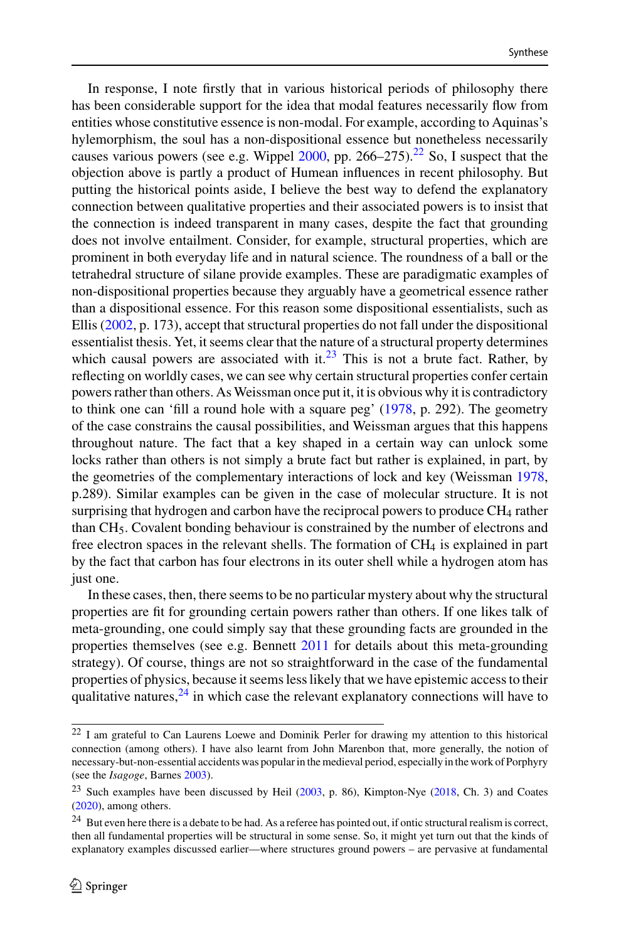In response, I note firstly that in various historical periods of philosophy there has been considerable support for the idea that modal features necessarily flow from entities whose constitutive essence is non-modal. For example, according to Aquinas's hylemorphism, the soul has a non-dispositional essence but nonetheless necessarily causes various powers (see e.g. Wippel  $2000$ , pp.  $266-275$ ).<sup>[22](#page-14-0)</sup> So, I suspect that the objection above is partly a product of Humean influences in recent philosophy. But putting the historical points aside, I believe the best way to defend the explanatory connection between qualitative properties and their associated powers is to insist that the connection is indeed transparent in many cases, despite the fact that grounding does not involve entailment. Consider, for example, structural properties, which are prominent in both everyday life and in natural science. The roundness of a ball or the tetrahedral structure of silane provide examples. These are paradigmatic examples of non-dispositional properties because they arguably have a geometrical essence rather than a dispositional essence. For this reason some dispositional essentialists, such as Ellis [\(2002,](#page-28-23) p. 173), accept that structural properties do not fall under the dispositional essentialist thesis. Yet, it seems clear that the nature of a structural property determines which causal powers are associated with it. $^{23}$  $^{23}$  $^{23}$  This is not a brute fact. Rather, by reflecting on worldly cases, we can see why certain structural properties confer certain powers rather than others. As Weissman once put it, it is obvious why it is contradictory to think one can 'fill a round hole with a square peg' [\(1978,](#page-30-30) p. 292). The geometry of the case constrains the causal possibilities, and Weissman argues that this happens throughout nature. The fact that a key shaped in a certain way can unlock some locks rather than others is not simply a brute fact but rather is explained, in part, by the geometries of the complementary interactions of lock and key (Weissman [1978,](#page-30-30) p.289). Similar examples can be given in the case of molecular structure. It is not surprising that hydrogen and carbon have the reciprocal powers to produce CH4 rather than CH5. Covalent bonding behaviour is constrained by the number of electrons and free electron spaces in the relevant shells. The formation of  $CH<sub>4</sub>$  is explained in part by the fact that carbon has four electrons in its outer shell while a hydrogen atom has just one.

In these cases, then, there seems to be no particular mystery about why the structural properties are fit for grounding certain powers rather than others. If one likes talk of meta-grounding, one could simply say that these grounding facts are grounded in the properties themselves (see e.g. Bennett [2011](#page-28-24) for details about this meta-grounding strategy). Of course, things are not so straightforward in the case of the fundamental properties of physics, because it seems less likely that we have epistemic access to their qualitative natures,  $24$  in which case the relevant explanatory connections will have to

<span id="page-14-0"></span> $22$  I am grateful to Can Laurens Loewe and Dominik Perler for drawing my attention to this historical connection (among others). I have also learnt from John Marenbon that, more generally, the notion of necessary-but-non-essential accidents was popular in the medieval period, especially in the work of Porphyry (see the *Isagoge*, Barnes [2003\)](#page-28-25).

<span id="page-14-2"></span><span id="page-14-1"></span><sup>&</sup>lt;sup>23</sup> Such examples have been discussed by Heil [\(2003,](#page-29-5) p. 86), Kimpton-Nye [\(2018,](#page-29-26) Ch. 3) and Coates [\(2020\)](#page-28-21), among others.

<sup>&</sup>lt;sup>24</sup> But even here there is a debate to be had. As a referee has pointed out, if ontic structural realism is correct, then all fundamental properties will be structural in some sense. So, it might yet turn out that the kinds of explanatory examples discussed earlier—where structures ground powers – are pervasive at fundamental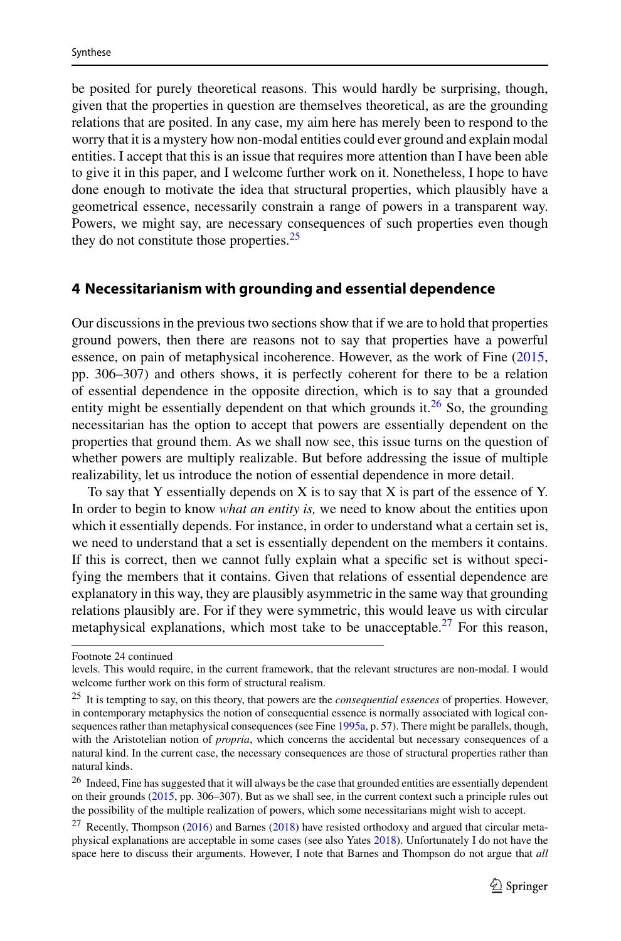be posited for purely theoretical reasons. This would hardly be surprising, though, given that the properties in question are themselves theoretical, as are the grounding relations that are posited. In any case, my aim here has merely been to respond to the worry that it is a mystery how non-modal entities could ever ground and explain modal entities. I accept that this is an issue that requires more attention than I have been able to give it in this paper, and I welcome further work on it. Nonetheless, I hope to have done enough to motivate the idea that structural properties, which plausibly have a geometrical essence, necessarily constrain a range of powers in a transparent way. Powers, we might say, are necessary consequences of such properties even though they do not constitute those properties. $25$ 

#### <span id="page-15-3"></span>**4 Necessitarianism with grounding and essential dependence**

Our discussions in the previous two sections show that if we are to hold that properties ground powers, then there are reasons not to say that properties have a powerful essence, on pain of metaphysical incoherence. However, as the work of Fine [\(2015,](#page-29-20) pp. 306–307) and others shows, it is perfectly coherent for there to be a relation of essential dependence in the opposite direction, which is to say that a grounded entity might be essentially dependent on that which grounds it.<sup>[26](#page-15-1)</sup> So, the grounding necessitarian has the option to accept that powers are essentially dependent on the properties that ground them. As we shall now see, this issue turns on the question of whether powers are multiply realizable. But before addressing the issue of multiple realizability, let us introduce the notion of essential dependence in more detail.

To say that Y essentially depends on X is to say that X is part of the essence of Y. In order to begin to know *what an entity is,* we need to know about the entities upon which it essentially depends. For instance, in order to understand what a certain set is, we need to understand that a set is essentially dependent on the members it contains. If this is correct, then we cannot fully explain what a specific set is without specifying the members that it contains. Given that relations of essential dependence are explanatory in this way, they are plausibly asymmetric in the same way that grounding relations plausibly are. For if they were symmetric, this would leave us with circular metaphysical explanations, which most take to be unacceptable.<sup>27</sup> For this reason,

Footnote 24 continued

<span id="page-15-0"></span>levels. This would require, in the current framework, that the relevant structures are non-modal. I would welcome further work on this form of structural realism.

<sup>25</sup> It is tempting to say, on this theory, that powers are the *consequential essences* of properties. However, in contemporary metaphysics the notion of consequential essence is normally associated with logical consequences rather than metaphysical consequences (see Fine [1995a,](#page-29-32) p. 57). There might be parallels, though, with the Aristotelian notion of *propria*, which concerns the accidental but necessary consequences of a natural kind. In the current case, the necessary consequences are those of structural properties rather than natural kinds.

<span id="page-15-1"></span><sup>&</sup>lt;sup>26</sup> Indeed, Fine has suggested that it will always be the case that grounded entities are essentially dependent on their grounds [\(2015,](#page-29-20) pp. 306–307). But as we shall see, in the current context such a principle rules out the possibility of the multiple realization of powers, which some necessitarians might wish to accept.

<span id="page-15-2"></span> $27$  Recently, Thompson [\(2016\)](#page-30-21) and Barnes [\(2018\)](#page-28-26) have resisted orthodoxy and argued that circular metaphysical explanations are acceptable in some cases (see also Yates [2018\)](#page-30-14). Unfortunately I do not have the space here to discuss their arguments. However, I note that Barnes and Thompson do not argue that *all*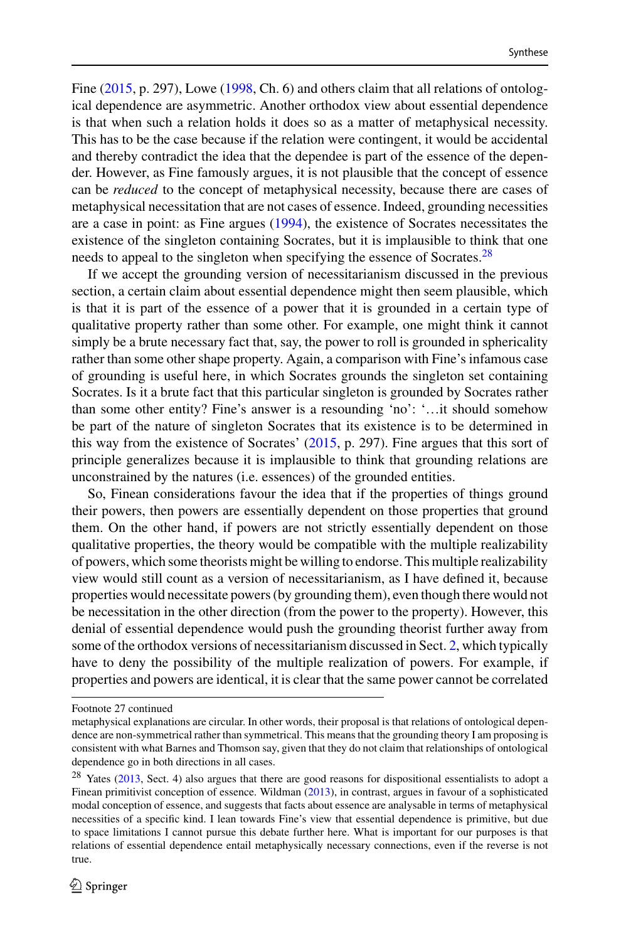Fine [\(2015,](#page-29-20) p. 297), Lowe [\(1998,](#page-29-33) Ch. 6) and others claim that all relations of ontological dependence are asymmetric. Another orthodox view about essential dependence is that when such a relation holds it does so as a matter of metaphysical necessity. This has to be the case because if the relation were contingent, it would be accidental and thereby contradict the idea that the dependee is part of the essence of the depender. However, as Fine famously argues, it is not plausible that the concept of essence can be *reduced* to the concept of metaphysical necessity, because there are cases of metaphysical necessitation that are not cases of essence. Indeed, grounding necessities are a case in point: as Fine argues [\(1994\)](#page-29-34), the existence of Socrates necessitates the existence of the singleton containing Socrates, but it is implausible to think that one needs to appeal to the singleton when specifying the essence of Socrates.<sup>28</sup>

If we accept the grounding version of necessitarianism discussed in the previous section, a certain claim about essential dependence might then seem plausible, which is that it is part of the essence of a power that it is grounded in a certain type of qualitative property rather than some other. For example, one might think it cannot simply be a brute necessary fact that, say, the power to roll is grounded in sphericality rather than some other shape property. Again, a comparison with Fine's infamous case of grounding is useful here, in which Socrates grounds the singleton set containing Socrates. Is it a brute fact that this particular singleton is grounded by Socrates rather than some other entity? Fine's answer is a resounding 'no': '…it should somehow be part of the nature of singleton Socrates that its existence is to be determined in this way from the existence of Socrates' [\(2015,](#page-29-20) p. 297). Fine argues that this sort of principle generalizes because it is implausible to think that grounding relations are unconstrained by the natures (i.e. essences) of the grounded entities.

So, Finean considerations favour the idea that if the properties of things ground their powers, then powers are essentially dependent on those properties that ground them. On the other hand, if powers are not strictly essentially dependent on those qualitative properties, the theory would be compatible with the multiple realizability of powers, which some theorists might be willing to endorse. This multiple realizability view would still count as a version of necessitarianism, as I have defined it, because properties would necessitate powers (by grounding them), even though there would not be necessitation in the other direction (from the power to the property). However, this denial of essential dependence would push the grounding theorist further away from some of the orthodox versions of necessitarianism discussed in Sect. [2,](#page-5-0) which typically have to deny the possibility of the multiple realization of powers. For example, if properties and powers are identical, it is clear that the same power cannot be correlated

Footnote 27 continued

metaphysical explanations are circular. In other words, their proposal is that relations of ontological dependence are non-symmetrical rather than symmetrical. This means that the grounding theory I am proposing is consistent with what Barnes and Thomson say, given that they do not claim that relationships of ontological dependence go in both directions in all cases.

<span id="page-16-0"></span><sup>&</sup>lt;sup>28</sup> Yates [\(2013,](#page-30-5) Sect. 4) also argues that there are good reasons for dispositional essentialists to adopt a Finean primitivist conception of essence. Wildman [\(2013\)](#page-30-31), in contrast, argues in favour of a sophisticated modal conception of essence, and suggests that facts about essence are analysable in terms of metaphysical necessities of a specific kind. I lean towards Fine's view that essential dependence is primitive, but due to space limitations I cannot pursue this debate further here. What is important for our purposes is that relations of essential dependence entail metaphysically necessary connections, even if the reverse is not true.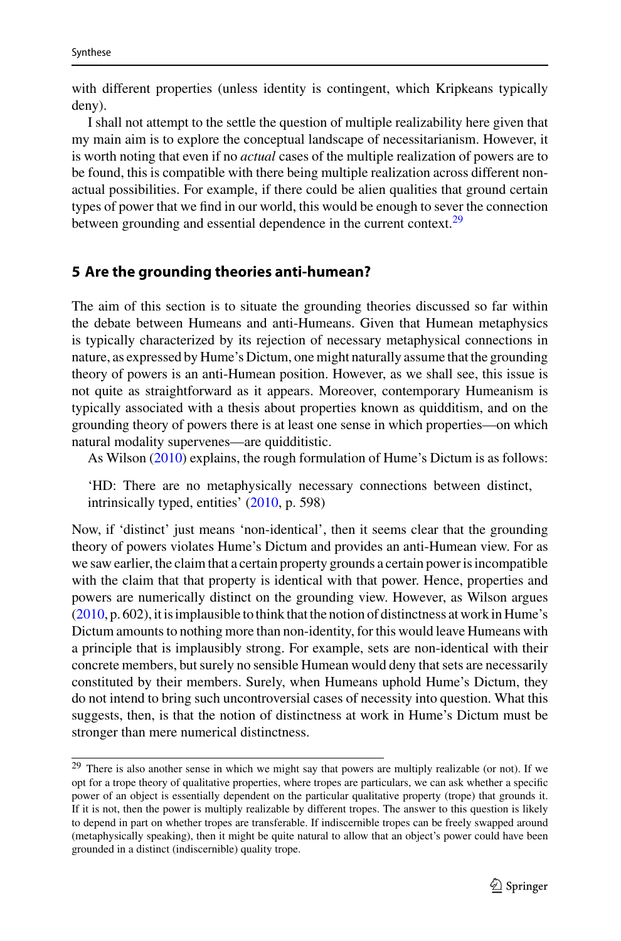with different properties (unless identity is contingent, which Kripkeans typically deny).

I shall not attempt to the settle the question of multiple realizability here given that my main aim is to explore the conceptual landscape of necessitarianism. However, it is worth noting that even if no *actual* cases of the multiple realization of powers are to be found, this is compatible with there being multiple realization across different nonactual possibilities. For example, if there could be alien qualities that ground certain types of power that we find in our world, this would be enough to sever the connection between grounding and essential dependence in the current context.<sup>29</sup>

### <span id="page-17-0"></span>**5 Are the grounding theories anti-humean?**

The aim of this section is to situate the grounding theories discussed so far within the debate between Humeans and anti-Humeans. Given that Humean metaphysics is typically characterized by its rejection of necessary metaphysical connections in nature, as expressed by Hume's Dictum, one might naturally assume that the grounding theory of powers is an anti-Humean position. However, as we shall see, this issue is not quite as straightforward as it appears. Moreover, contemporary Humeanism is typically associated with a thesis about properties known as quidditism, and on the grounding theory of powers there is at least one sense in which properties—on which natural modality supervenes—are quidditistic.

As Wilson [\(2010\)](#page-30-32) explains, the rough formulation of Hume's Dictum is as follows:

'HD: There are no metaphysically necessary connections between distinct, intrinsically typed, entities' [\(2010,](#page-30-32) p. 598)

Now, if 'distinct' just means 'non-identical', then it seems clear that the grounding theory of powers violates Hume's Dictum and provides an anti-Humean view. For as we saw earlier, the claim that a certain property grounds a certain power is incompatible with the claim that that property is identical with that power. Hence, properties and powers are numerically distinct on the grounding view. However, as Wilson argues [\(2010,](#page-30-32) p. 602), it is implausible to think that the notion of distinctness at work in Hume's Dictum amounts to nothing more than non-identity, for this would leave Humeans with a principle that is implausibly strong. For example, sets are non-identical with their concrete members, but surely no sensible Humean would deny that sets are necessarily constituted by their members. Surely, when Humeans uphold Hume's Dictum, they do not intend to bring such uncontroversial cases of necessity into question. What this suggests, then, is that the notion of distinctness at work in Hume's Dictum must be stronger than mere numerical distinctness.

<span id="page-17-1"></span><sup>29</sup> There is also another sense in which we might say that powers are multiply realizable (or not). If we opt for a trope theory of qualitative properties, where tropes are particulars, we can ask whether a specific power of an object is essentially dependent on the particular qualitative property (trope) that grounds it. If it is not, then the power is multiply realizable by different tropes. The answer to this question is likely to depend in part on whether tropes are transferable. If indiscernible tropes can be freely swapped around (metaphysically speaking), then it might be quite natural to allow that an object's power could have been grounded in a distinct (indiscernible) quality trope.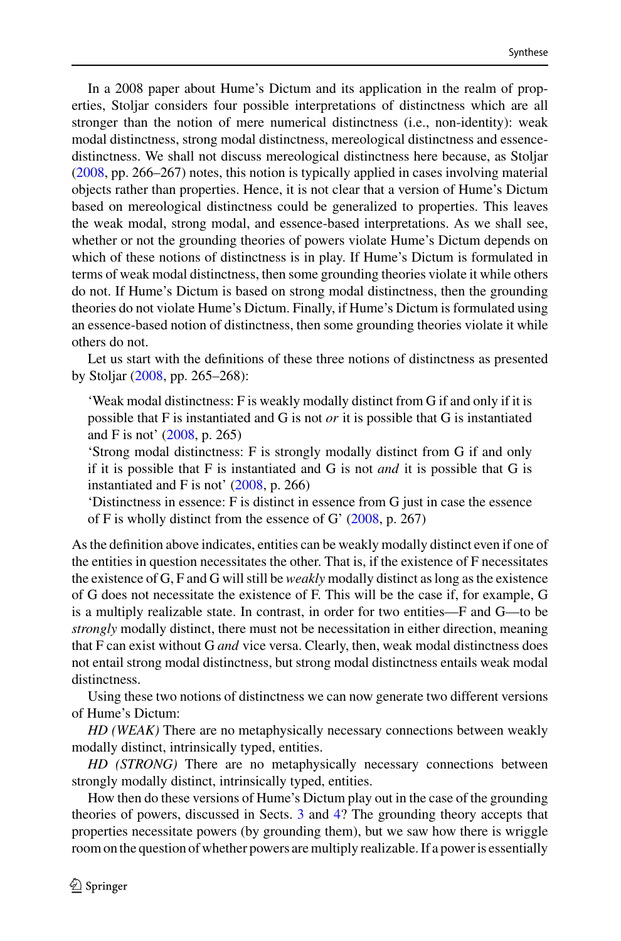In a 2008 paper about Hume's Dictum and its application in the realm of properties, Stoljar considers four possible interpretations of distinctness which are all stronger than the notion of mere numerical distinctness (i.e., non-identity): weak modal distinctness, strong modal distinctness, mereological distinctness and essencedistinctness. We shall not discuss mereological distinctness here because, as Stoljar [\(2008,](#page-30-33) pp. 266–267) notes, this notion is typically applied in cases involving material objects rather than properties. Hence, it is not clear that a version of Hume's Dictum based on mereological distinctness could be generalized to properties. This leaves the weak modal, strong modal, and essence-based interpretations. As we shall see, whether or not the grounding theories of powers violate Hume's Dictum depends on which of these notions of distinctness is in play. If Hume's Dictum is formulated in terms of weak modal distinctness, then some grounding theories violate it while others do not. If Hume's Dictum is based on strong modal distinctness, then the grounding theories do not violate Hume's Dictum. Finally, if Hume's Dictum is formulated using an essence-based notion of distinctness, then some grounding theories violate it while others do not.

Let us start with the definitions of these three notions of distinctness as presented by Stoljar [\(2008,](#page-30-33) pp. 265–268):

'Weak modal distinctness: F is weakly modally distinct from G if and only if it is possible that F is instantiated and G is not *or* it is possible that G is instantiated and F is not' [\(2008,](#page-30-33) p. 265)

'Strong modal distinctness: F is strongly modally distinct from G if and only if it is possible that F is instantiated and G is not *and* it is possible that G is instantiated and F is not' [\(2008,](#page-30-33) p. 266)

'Distinctness in essence: F is distinct in essence from G just in case the essence of F is wholly distinct from the essence of G' [\(2008,](#page-30-33) p. 267)

As the definition above indicates, entities can be weakly modally distinct even if one of the entities in question necessitates the other. That is, if the existence of F necessitates the existence of G, F and G will still be *weakly* modally distinct as long as the existence of G does not necessitate the existence of F. This will be the case if, for example, G is a multiply realizable state. In contrast, in order for two entities—F and G—to be *strongly* modally distinct, there must not be necessitation in either direction, meaning that F can exist without G *and* vice versa. Clearly, then, weak modal distinctness does not entail strong modal distinctness, but strong modal distinctness entails weak modal distinctness.

Using these two notions of distinctness we can now generate two different versions of Hume's Dictum:

*HD (WEAK)* There are no metaphysically necessary connections between weakly modally distinct, intrinsically typed, entities.

*HD (STRONG)* There are no metaphysically necessary connections between strongly modally distinct, intrinsically typed, entities.

How then do these versions of Hume's Dictum play out in the case of the grounding theories of powers, discussed in Sects. [3](#page-7-0) and [4?](#page-15-3) The grounding theory accepts that properties necessitate powers (by grounding them), but we saw how there is wriggle room on the question of whether powers are multiply realizable. If a power is essentially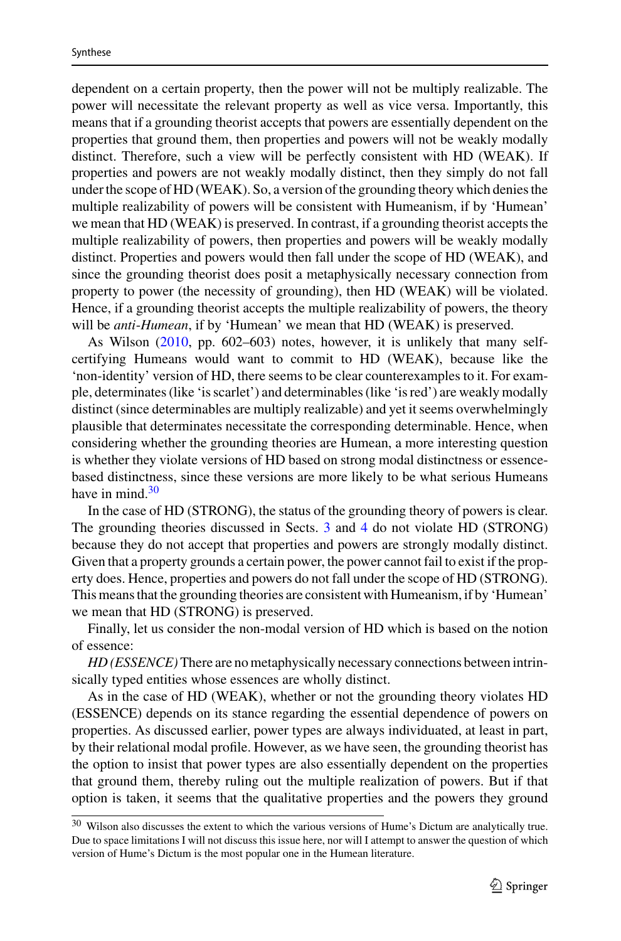dependent on a certain property, then the power will not be multiply realizable. The power will necessitate the relevant property as well as vice versa. Importantly, this means that if a grounding theorist accepts that powers are essentially dependent on the properties that ground them, then properties and powers will not be weakly modally distinct. Therefore, such a view will be perfectly consistent with HD (WEAK). If properties and powers are not weakly modally distinct, then they simply do not fall under the scope of HD (WEAK). So, a version of the grounding theory which denies the multiple realizability of powers will be consistent with Humeanism, if by 'Humean' we mean that HD (WEAK) is preserved. In contrast, if a grounding theorist accepts the multiple realizability of powers, then properties and powers will be weakly modally distinct. Properties and powers would then fall under the scope of HD (WEAK), and since the grounding theorist does posit a metaphysically necessary connection from property to power (the necessity of grounding), then HD (WEAK) will be violated. Hence, if a grounding theorist accepts the multiple realizability of powers, the theory will be *anti*-*Humean*, if by 'Humean' we mean that HD (WEAK) is preserved.

As Wilson [\(2010,](#page-30-32) pp. 602–603) notes, however, it is unlikely that many selfcertifying Humeans would want to commit to HD (WEAK), because like the 'non-identity' version of HD, there seems to be clear counterexamples to it. For example, determinates (like 'is scarlet') and determinables (like 'is red') are weakly modally distinct (since determinables are multiply realizable) and yet it seems overwhelmingly plausible that determinates necessitate the corresponding determinable. Hence, when considering whether the grounding theories are Humean, a more interesting question is whether they violate versions of HD based on strong modal distinctness or essencebased distinctness, since these versions are more likely to be what serious Humeans have in mind. $30$ 

In the case of HD (STRONG), the status of the grounding theory of powers is clear. The grounding theories discussed in Sects. [3](#page-7-0) and [4](#page-15-3) do not violate HD (STRONG) because they do not accept that properties and powers are strongly modally distinct. Given that a property grounds a certain power, the power cannot fail to exist if the property does. Hence, properties and powers do not fall under the scope of HD (STRONG). This means that the grounding theories are consistent with Humeanism, if by 'Humean' we mean that HD (STRONG) is preserved.

Finally, let us consider the non-modal version of HD which is based on the notion of essence:

*HD (ESSENCE)*There are no metaphysically necessary connections between intrinsically typed entities whose essences are wholly distinct.

As in the case of HD (WEAK), whether or not the grounding theory violates HD (ESSENCE) depends on its stance regarding the essential dependence of powers on properties. As discussed earlier, power types are always individuated, at least in part, by their relational modal profile. However, as we have seen, the grounding theorist has the option to insist that power types are also essentially dependent on the properties that ground them, thereby ruling out the multiple realization of powers. But if that option is taken, it seems that the qualitative properties and the powers they ground

<span id="page-19-0"></span><sup>30</sup> Wilson also discusses the extent to which the various versions of Hume's Dictum are analytically true. Due to space limitations I will not discuss this issue here, nor will I attempt to answer the question of which version of Hume's Dictum is the most popular one in the Humean literature.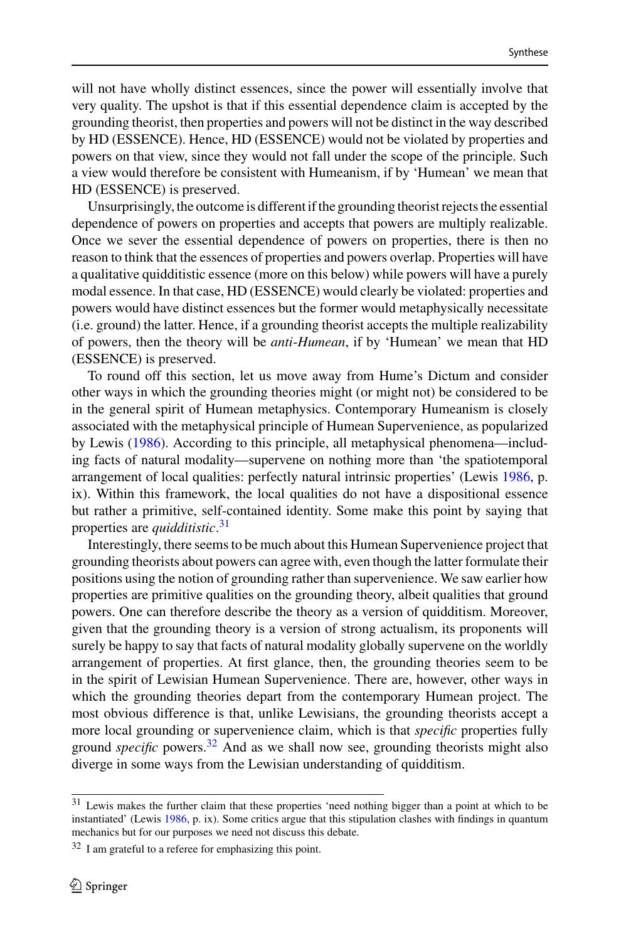will not have wholly distinct essences, since the power will essentially involve that very quality. The upshot is that if this essential dependence claim is accepted by the grounding theorist, then properties and powers will not be distinct in the way described by HD (ESSENCE). Hence, HD (ESSENCE) would not be violated by properties and powers on that view, since they would not fall under the scope of the principle. Such a view would therefore be consistent with Humeanism, if by 'Humean' we mean that HD (ESSENCE) is preserved.

Unsurprisingly, the outcome is different if the grounding theorist rejects the essential dependence of powers on properties and accepts that powers are multiply realizable. Once we sever the essential dependence of powers on properties, there is then no reason to think that the essences of properties and powers overlap. Properties will have a qualitative quidditistic essence (more on this below) while powers will have a purely modal essence. In that case, HD (ESSENCE) would clearly be violated: properties and powers would have distinct essences but the former would metaphysically necessitate (i.e. ground) the latter. Hence, if a grounding theorist accepts the multiple realizability of powers, then the theory will be *anti*-*Humean*, if by 'Humean' we mean that HD (ESSENCE) is preserved.

To round off this section, let us move away from Hume's Dictum and consider other ways in which the grounding theories might (or might not) be considered to be in the general spirit of Humean metaphysics. Contemporary Humeanism is closely associated with the metaphysical principle of Humean Supervenience, as popularized by Lewis [\(1986\)](#page-29-35). According to this principle, all metaphysical phenomena—including facts of natural modality—supervene on nothing more than 'the spatiotemporal arrangement of local qualities: perfectly natural intrinsic properties' (Lewis [1986,](#page-29-35) p. ix). Within this framework, the local qualities do not have a dispositional essence but rather a primitive, self-contained identity. Some make this point by saying that properties are *quidditistic*. [31](#page-20-0)

Interestingly, there seems to be much about this Humean Supervenience project that grounding theorists about powers can agree with, even though the latter formulate their positions using the notion of grounding rather than supervenience. We saw earlier how properties are primitive qualities on the grounding theory, albeit qualities that ground powers. One can therefore describe the theory as a version of quidditism. Moreover, given that the grounding theory is a version of strong actualism, its proponents will surely be happy to say that facts of natural modality globally supervene on the worldly arrangement of properties. At first glance, then, the grounding theories seem to be in the spirit of Lewisian Humean Supervenience. There are, however, other ways in which the grounding theories depart from the contemporary Humean project. The most obvious difference is that, unlike Lewisians, the grounding theorists accept a more local grounding or supervenience claim, which is that *specific* properties fully ground *specific* powers.[32](#page-20-1) And as we shall now see, grounding theorists might also diverge in some ways from the Lewisian understanding of quidditism.

<span id="page-20-0"></span><sup>31</sup> Lewis makes the further claim that these properties 'need nothing bigger than a point at which to be instantiated' (Lewis [1986,](#page-29-35) p. ix). Some critics argue that this stipulation clashes with findings in quantum mechanics but for our purposes we need not discuss this debate.

<span id="page-20-1"></span> $32$  I am grateful to a referee for emphasizing this point.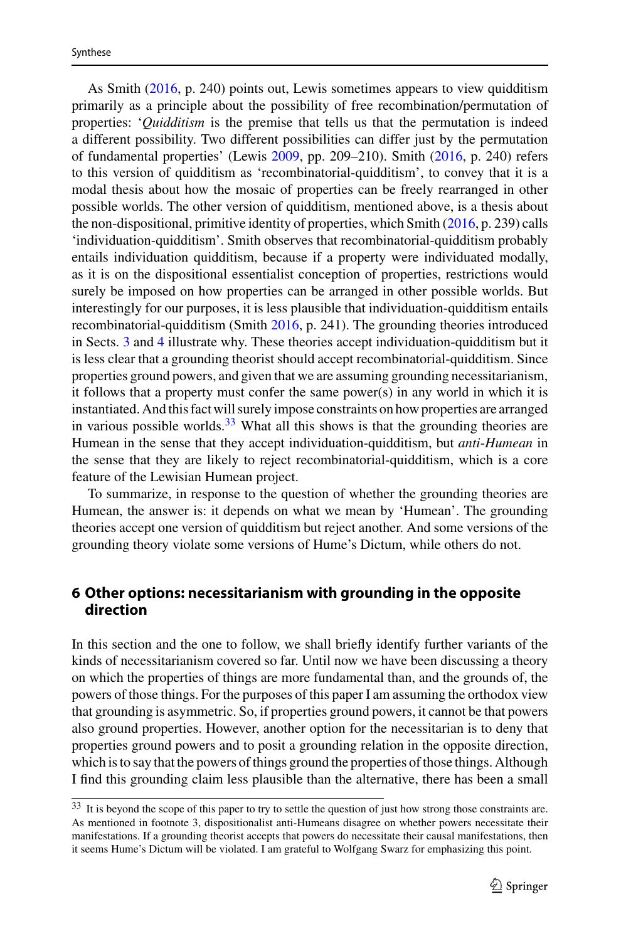As Smith [\(2016,](#page-30-23) p. 240) points out, Lewis sometimes appears to view quidditism primarily as a principle about the possibility of free recombination/permutation of properties: '*Quidditism* is the premise that tells us that the permutation is indeed a different possibility. Two different possibilities can differ just by the permutation of fundamental properties' (Lewis [2009,](#page-29-0) pp. 209–210). Smith [\(2016,](#page-30-23) p. 240) refers to this version of quidditism as 'recombinatorial-quidditism', to convey that it is a modal thesis about how the mosaic of properties can be freely rearranged in other possible worlds. The other version of quidditism, mentioned above, is a thesis about the non-dispositional, primitive identity of properties, which Smith [\(2016,](#page-30-23) p. 239) calls 'individuation-quidditism'. Smith observes that recombinatorial-quidditism probably entails individuation quidditism, because if a property were individuated modally, as it is on the dispositional essentialist conception of properties, restrictions would surely be imposed on how properties can be arranged in other possible worlds. But interestingly for our purposes, it is less plausible that individuation-quidditism entails recombinatorial-quidditism (Smith [2016,](#page-30-23) p. 241). The grounding theories introduced in Sects. [3](#page-7-0) and [4](#page-15-3) illustrate why. These theories accept individuation-quidditism but it is less clear that a grounding theorist should accept recombinatorial-quidditism. Since properties ground powers, and given that we are assuming grounding necessitarianism, it follows that a property must confer the same power(s) in any world in which it is instantiated. And this fact will surely impose constraints on how properties are arranged in various possible worlds. $33$  What all this shows is that the grounding theories are Humean in the sense that they accept individuation-quidditism, but *anti*-*Humean* in the sense that they are likely to reject recombinatorial-quidditism, which is a core feature of the Lewisian Humean project.

To summarize, in response to the question of whether the grounding theories are Humean, the answer is: it depends on what we mean by 'Humean'. The grounding theories accept one version of quidditism but reject another. And some versions of the grounding theory violate some versions of Hume's Dictum, while others do not.

## <span id="page-21-0"></span>**6 Other options: necessitarianism with grounding in the opposite direction**

In this section and the one to follow, we shall briefly identify further variants of the kinds of necessitarianism covered so far. Until now we have been discussing a theory on which the properties of things are more fundamental than, and the grounds of, the powers of those things. For the purposes of this paper I am assuming the orthodox view that grounding is asymmetric. So, if properties ground powers, it cannot be that powers also ground properties. However, another option for the necessitarian is to deny that properties ground powers and to posit a grounding relation in the opposite direction, which is to say that the powers of things ground the properties of those things. Although I find this grounding claim less plausible than the alternative, there has been a small

<span id="page-21-1"></span><sup>33</sup> It is beyond the scope of this paper to try to settle the question of just how strong those constraints are. As mentioned in footnote 3, dispositionalist anti-Humeans disagree on whether powers necessitate their manifestations. If a grounding theorist accepts that powers do necessitate their causal manifestations, then it seems Hume's Dictum will be violated. I am grateful to Wolfgang Swarz for emphasizing this point.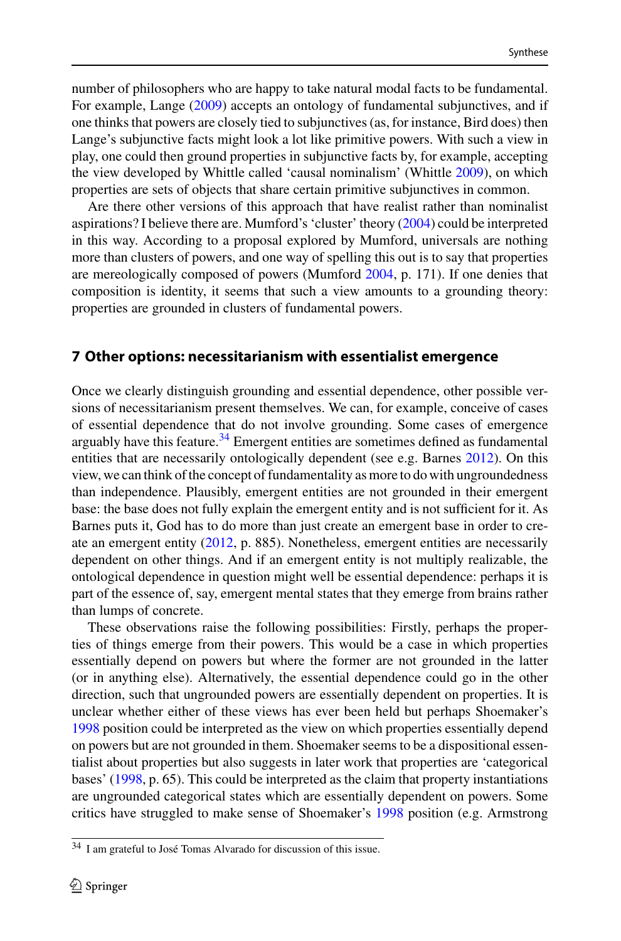number of philosophers who are happy to take natural modal facts to be fundamental. For example, Lange [\(2009\)](#page-29-36) accepts an ontology of fundamental subjunctives, and if one thinks that powers are closely tied to subjunctives (as, for instance, Bird does) then Lange's subjunctive facts might look a lot like primitive powers. With such a view in play, one could then ground properties in subjunctive facts by, for example, accepting the view developed by Whittle called 'causal nominalism' (Whittle [2009\)](#page-30-34), on which properties are sets of objects that share certain primitive subjunctives in common.

Are there other versions of this approach that have realist rather than nominalist aspirations? I believe there are. Mumford's 'cluster' theory [\(2004\)](#page-29-1) could be interpreted in this way. According to a proposal explored by Mumford, universals are nothing more than clusters of powers, and one way of spelling this out is to say that properties are mereologically composed of powers (Mumford [2004,](#page-29-1) p. 171). If one denies that composition is identity, it seems that such a view amounts to a grounding theory: properties are grounded in clusters of fundamental powers.

#### **7 Other options: necessitarianism with essentialist emergence**

Once we clearly distinguish grounding and essential dependence, other possible versions of necessitarianism present themselves. We can, for example, conceive of cases of essential dependence that do not involve grounding. Some cases of emergence arguably have this feature.<sup>34</sup> Emergent entities are sometimes defined as fundamental entities that are necessarily ontologically dependent (see e.g. Barnes [2012\)](#page-28-27). On this view, we can think of the concept of fundamentality as more to do with ungroundedness than independence. Plausibly, emergent entities are not grounded in their emergent base: the base does not fully explain the emergent entity and is not sufficient for it. As Barnes puts it, God has to do more than just create an emergent base in order to create an emergent entity [\(2012,](#page-28-27) p. 885). Nonetheless, emergent entities are necessarily dependent on other things. And if an emergent entity is not multiply realizable, the ontological dependence in question might well be essential dependence: perhaps it is part of the essence of, say, emergent mental states that they emerge from brains rather than lumps of concrete.

These observations raise the following possibilities: Firstly, perhaps the properties of things emerge from their powers. This would be a case in which properties essentially depend on powers but where the former are not grounded in the latter (or in anything else). Alternatively, the essential dependence could go in the other direction, such that ungrounded powers are essentially dependent on properties. It is unclear whether either of these views has ever been held but perhaps Shoemaker's [1998](#page-30-9) position could be interpreted as the view on which properties essentially depend on powers but are not grounded in them. Shoemaker seems to be a dispositional essentialist about properties but also suggests in later work that properties are 'categorical bases' [\(1998,](#page-30-9) p. 65). This could be interpreted as the claim that property instantiations are ungrounded categorical states which are essentially dependent on powers. Some critics have struggled to make sense of Shoemaker's [1998](#page-30-9) position (e.g. Armstrong

<span id="page-22-0"></span><sup>34</sup> I am grateful to José Tomas Alvarado for discussion of this issue.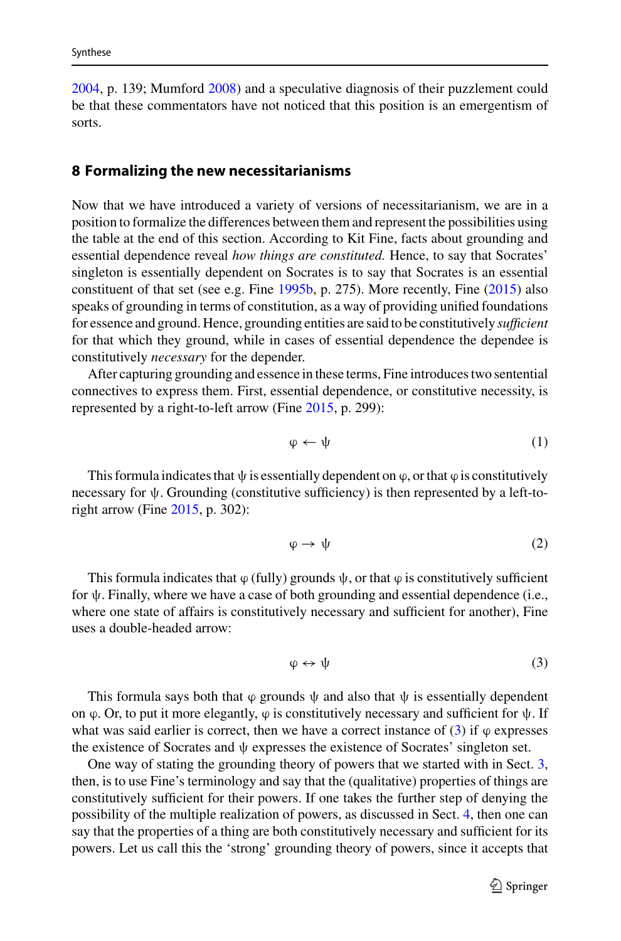[2004,](#page-28-12) p. 139; Mumford [2008\)](#page-29-37) and a speculative diagnosis of their puzzlement could be that these commentators have not noticed that this position is an emergentism of sorts.

#### <span id="page-23-0"></span>**8 Formalizing the new necessitarianisms**

Now that we have introduced a variety of versions of necessitarianism, we are in a position to formalize the differences between them and represent the possibilities using the table at the end of this section. According to Kit Fine, facts about grounding and essential dependence reveal *how things are constituted.* Hence, to say that Socrates' singleton is essentially dependent on Socrates is to say that Socrates is an essential constituent of that set (see e.g. Fine [1995b,](#page-29-38) p. 275). More recently, Fine [\(2015\)](#page-29-20) also speaks of grounding in terms of constitution, as a way of providing unified foundations for essence and ground. Hence, grounding entities are said to be constitutively *sufficient* for that which they ground, while in cases of essential dependence the dependee is constitutively *necessary* for the depender.

After capturing grounding and essence in these terms, Fine introduces two sentential connectives to express them. First, essential dependence, or constitutive necessity, is represented by a right-to-left arrow (Fine [2015,](#page-29-20) p. 299):

$$
\varphi \leftarrow \psi \tag{1}
$$

This formula indicates that  $\psi$  is essentially dependent on  $\varphi$ , or that  $\varphi$  is constitutively necessary for  $\psi$ . Grounding (constitutive sufficiency) is then represented by a left-toright arrow (Fine [2015,](#page-29-20) p. 302):

<span id="page-23-2"></span>
$$
\varphi \to \psi \tag{2}
$$

This formula indicates that  $\varphi$  (fully) grounds  $\psi$ , or that  $\varphi$  is constitutively sufficient for ψ. Finally, where we have a case of both grounding and essential dependence (i.e., where one state of affairs is constitutively necessary and sufficient for another), Fine uses a double-headed arrow:

<span id="page-23-1"></span>
$$
\varphi \leftrightarrow \psi \tag{3}
$$

This formula says both that  $\varphi$  grounds  $\psi$  and also that  $\psi$  is essentially dependent on  $\varphi$ . Or, to put it more elegantly,  $\varphi$  is constitutively necessary and sufficient for  $\psi$ . If what was said earlier is correct, then we have a correct instance of [\(3\)](#page-23-1) if  $\varphi$  expresses the existence of Socrates and ψ expresses the existence of Socrates' singleton set.

One way of stating the grounding theory of powers that we started with in Sect. [3,](#page-7-0) then, is to use Fine's terminology and say that the (qualitative) properties of things are constitutively sufficient for their powers. If one takes the further step of denying the possibility of the multiple realization of powers, as discussed in Sect. [4,](#page-15-3) then one can say that the properties of a thing are both constitutively necessary and sufficient for its powers. Let us call this the 'strong' grounding theory of powers, since it accepts that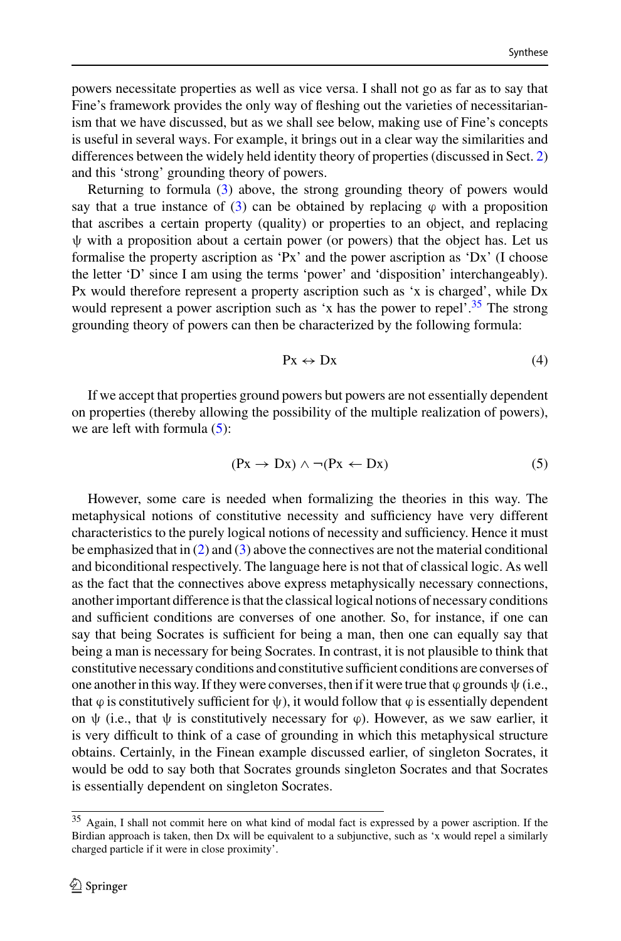powers necessitate properties as well as vice versa. I shall not go as far as to say that Fine's framework provides the only way of fleshing out the varieties of necessitarianism that we have discussed, but as we shall see below, making use of Fine's concepts is useful in several ways. For example, it brings out in a clear way the similarities and differences between the widely held identity theory of properties (discussed in Sect. [2\)](#page-5-0) and this 'strong' grounding theory of powers.

Returning to formula [\(3\)](#page-23-1) above, the strong grounding theory of powers would say that a true instance of [\(3\)](#page-23-1) can be obtained by replacing  $\varphi$  with a proposition that ascribes a certain property (quality) or properties to an object, and replacing  $\psi$  with a proposition about a certain power (or powers) that the object has. Let us formalise the property ascription as 'Px' and the power ascription as 'Dx' (I choose the letter 'D' since I am using the terms 'power' and 'disposition' interchangeably). Px would therefore represent a property ascription such as 'x is charged', while Dx would represent a power ascription such as 'x has the power to repel'.<sup>35</sup> The strong grounding theory of powers can then be characterized by the following formula:

<span id="page-24-2"></span><span id="page-24-1"></span>
$$
Px \leftrightarrow Dx \tag{4}
$$

If we accept that properties ground powers but powers are not essentially dependent on properties (thereby allowing the possibility of the multiple realization of powers), we are left with formula  $(5)$ :

$$
(Px \to Dx) \land \neg(Px \leftarrow Dx) \tag{5}
$$

However, some care is needed when formalizing the theories in this way. The metaphysical notions of constitutive necessity and sufficiency have very different characteristics to the purely logical notions of necessity and sufficiency. Hence it must be emphasized that in [\(2\)](#page-23-2) and [\(3\)](#page-23-1) above the connectives are not the material conditional and biconditional respectively. The language here is not that of classical logic. As well as the fact that the connectives above express metaphysically necessary connections, another important difference is that the classical logical notions of necessary conditions and sufficient conditions are converses of one another. So, for instance, if one can say that being Socrates is sufficient for being a man, then one can equally say that being a man is necessary for being Socrates. In contrast, it is not plausible to think that constitutive necessary conditions and constitutive sufficient conditions are converses of one another in this way. If they were converses, then if it were true that  $\varphi$  grounds  $\psi$  (i.e., that  $\varphi$  is constitutively sufficient for  $\psi$ ), it would follow that  $\varphi$  is essentially dependent on  $\psi$  (i.e., that  $\psi$  is constitutively necessary for  $\varphi$ ). However, as we saw earlier, it is very difficult to think of a case of grounding in which this metaphysical structure obtains. Certainly, in the Finean example discussed earlier, of singleton Socrates, it would be odd to say both that Socrates grounds singleton Socrates and that Socrates is essentially dependent on singleton Socrates.

<span id="page-24-0"></span><sup>35</sup> Again, I shall not commit here on what kind of modal fact is expressed by a power ascription. If the Birdian approach is taken, then Dx will be equivalent to a subjunctive, such as 'x would repel a similarly charged particle if it were in close proximity'.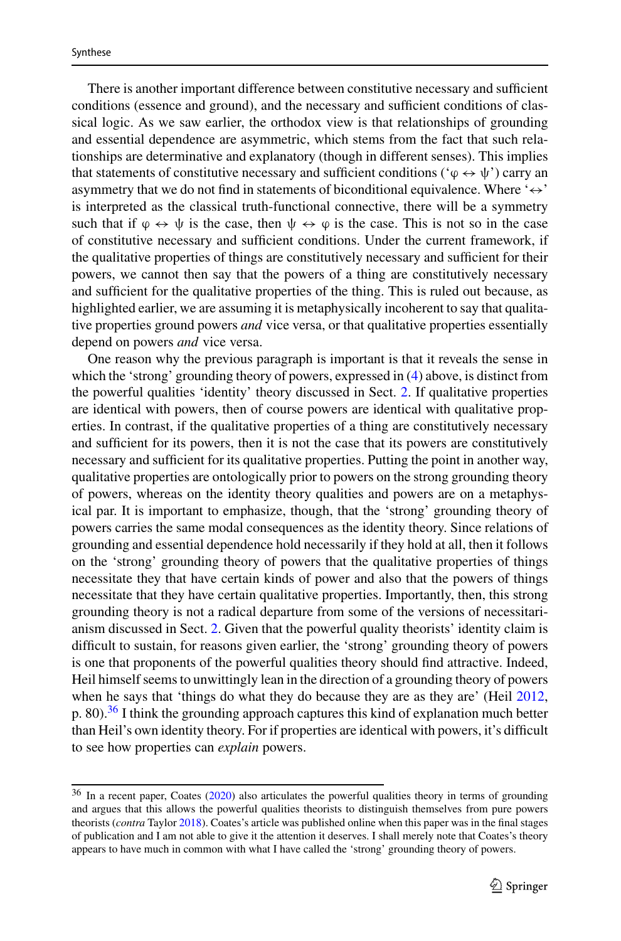There is another important difference between constitutive necessary and sufficient conditions (essence and ground), and the necessary and sufficient conditions of classical logic. As we saw earlier, the orthodox view is that relationships of grounding and essential dependence are asymmetric, which stems from the fact that such relationships are determinative and explanatory (though in different senses). This implies that statements of constitutive necessary and sufficient conditions ( $\phi \leftrightarrow \psi$ ) carry an asymmetry that we do not find in statements of biconditional equivalence. Where  $\leftrightarrow$ is interpreted as the classical truth-functional connective, there will be a symmetry such that if  $\varphi \leftrightarrow \psi$  is the case, then  $\psi \leftrightarrow \varphi$  is the case. This is not so in the case of constitutive necessary and sufficient conditions. Under the current framework, if the qualitative properties of things are constitutively necessary and sufficient for their powers, we cannot then say that the powers of a thing are constitutively necessary and sufficient for the qualitative properties of the thing. This is ruled out because, as highlighted earlier, we are assuming it is metaphysically incoherent to say that qualitative properties ground powers *and* vice versa, or that qualitative properties essentially depend on powers *and* vice versa.

One reason why the previous paragraph is important is that it reveals the sense in which the 'strong' grounding theory of powers, expressed in [\(4\)](#page-24-2) above, is distinct from the powerful qualities 'identity' theory discussed in Sect. [2.](#page-5-0) If qualitative properties are identical with powers, then of course powers are identical with qualitative properties. In contrast, if the qualitative properties of a thing are constitutively necessary and sufficient for its powers, then it is not the case that its powers are constitutively necessary and sufficient for its qualitative properties. Putting the point in another way, qualitative properties are ontologically prior to powers on the strong grounding theory of powers, whereas on the identity theory qualities and powers are on a metaphysical par. It is important to emphasize, though, that the 'strong' grounding theory of powers carries the same modal consequences as the identity theory. Since relations of grounding and essential dependence hold necessarily if they hold at all, then it follows on the 'strong' grounding theory of powers that the qualitative properties of things necessitate they that have certain kinds of power and also that the powers of things necessitate that they have certain qualitative properties. Importantly, then, this strong grounding theory is not a radical departure from some of the versions of necessitarianism discussed in Sect. [2.](#page-5-0) Given that the powerful quality theorists' identity claim is difficult to sustain, for reasons given earlier, the 'strong' grounding theory of powers is one that proponents of the powerful qualities theory should find attractive. Indeed, Heil himself seems to unwittingly lean in the direction of a grounding theory of powers when he says that 'things do what they do because they are as they are' (Heil [2012,](#page-29-24) p. 80).<sup>[36](#page-25-0)</sup> I think the grounding approach captures this kind of explanation much better than Heil's own identity theory. For if properties are identical with powers, it's difficult to see how properties can *explain* powers.

<span id="page-25-0"></span><sup>&</sup>lt;sup>36</sup> In a recent paper, Coates [\(2020\)](#page-28-21) also articulates the powerful qualities theory in terms of grounding and argues that this allows the powerful qualities theorists to distinguish themselves from pure powers theorists (*contra* Taylor [2018\)](#page-30-13). Coates's article was published online when this paper was in the final stages of publication and I am not able to give it the attention it deserves. I shall merely note that Coates's theory appears to have much in common with what I have called the 'strong' grounding theory of powers.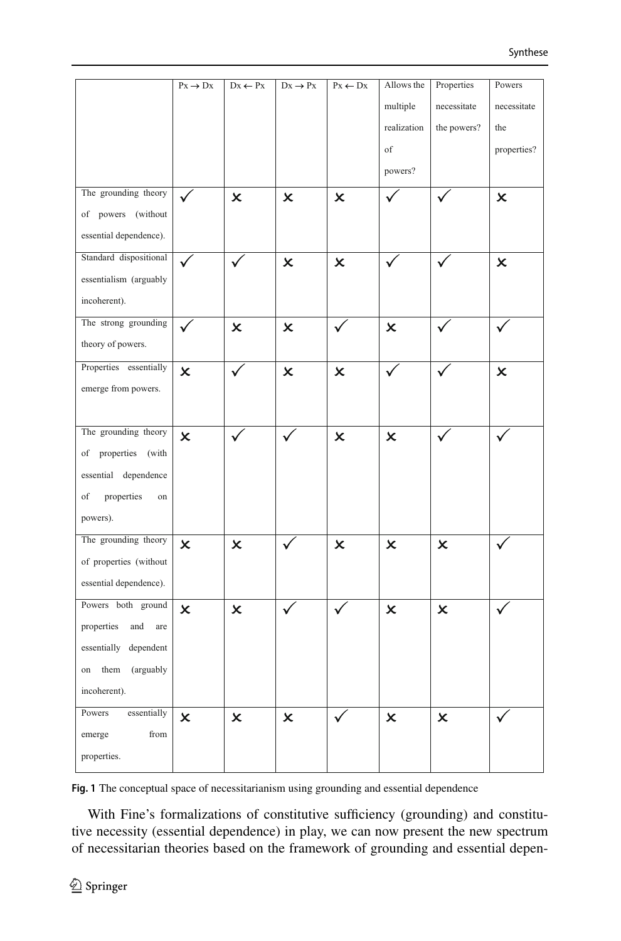|                          | $Px \rightarrow Dx$       | $Dx \leftarrow Px$        | $Dx \rightarrow Px$       | $\mathbf{P}\mathbf{x} \leftarrow \mathbf{D}\mathbf{x}$ | Allows the                | Properties                | Powers         |
|--------------------------|---------------------------|---------------------------|---------------------------|--------------------------------------------------------|---------------------------|---------------------------|----------------|
|                          |                           |                           |                           |                                                        | multiple                  | necessitate               | necessitate    |
|                          |                           |                           |                           |                                                        | realization               | the powers?               | the            |
|                          |                           |                           |                           |                                                        | $_{\mathrm{of}}$          |                           | properties?    |
|                          |                           |                           |                           |                                                        | powers?                   |                           |                |
| The grounding theory     |                           | $\boldsymbol{\mathsf{x}}$ | x                         | X                                                      |                           |                           | x              |
| of powers (without       |                           |                           |                           |                                                        |                           |                           |                |
| essential dependence).   |                           |                           |                           |                                                        |                           |                           |                |
| Standard dispositional   | ✓                         |                           | $\pmb{\times}$            | $\boldsymbol{\mathsf{x}}$                              |                           |                           | $\pmb{\times}$ |
| essentialism (arguably   |                           |                           |                           |                                                        |                           |                           |                |
| incoherent).             |                           |                           |                           |                                                        |                           |                           |                |
| The strong grounding     |                           | $\boldsymbol{\mathsf{x}}$ | X                         | $\checkmark$                                           | $\boldsymbol{\mathsf{x}}$ |                           |                |
| theory of powers.        |                           |                           |                           |                                                        |                           |                           |                |
| Properties essentially   | $\boldsymbol{\mathsf{x}}$ |                           | $\pmb{\times}$            | $\boldsymbol{\mathsf{x}}$                              |                           |                           | x              |
| emerge from powers.      |                           |                           |                           |                                                        |                           |                           |                |
|                          |                           |                           |                           |                                                        |                           |                           |                |
| The grounding theory     | $\boldsymbol{\mathsf{x}}$ | ✓                         | $\checkmark$              | $\overline{\mathsf{x}}$                                | X                         | ✓                         | ✓              |
| of properties (with      |                           |                           |                           |                                                        |                           |                           |                |
| essential dependence     |                           |                           |                           |                                                        |                           |                           |                |
| properties<br>of<br>on   |                           |                           |                           |                                                        |                           |                           |                |
| powers).                 |                           |                           |                           |                                                        |                           |                           |                |
| The grounding theory     | $\boldsymbol{\mathsf{x}}$ | X                         |                           | x                                                      | X                         | X                         | ✓              |
| of properties (without   |                           |                           |                           |                                                        |                           |                           |                |
| essential dependence).   |                           |                           |                           |                                                        |                           |                           |                |
| Powers both ground       | $\boldsymbol{\mathsf{x}}$ | x                         |                           |                                                        | x                         | X                         |                |
| properties<br>and<br>are |                           |                           |                           |                                                        |                           |                           |                |
| essentially<br>dependent |                           |                           |                           |                                                        |                           |                           |                |
| them<br>(arguably<br>on  |                           |                           |                           |                                                        |                           |                           |                |
| incoherent).             |                           |                           |                           |                                                        |                           |                           |                |
| essentially<br>Powers    | $\overline{\mathsf{x}}$   | $\boldsymbol{\mathsf{x}}$ | $\boldsymbol{\mathsf{x}}$ |                                                        | $\boldsymbol{\mathsf{x}}$ | $\boldsymbol{\mathsf{x}}$ |                |
| emerge<br>from           |                           |                           |                           |                                                        |                           |                           |                |
| properties.              |                           |                           |                           |                                                        |                           |                           |                |

<span id="page-26-0"></span>**Fig. 1** The conceptual space of necessitarianism using grounding and essential dependence

With Fine's formalizations of constitutive sufficiency (grounding) and constitutive necessity (essential dependence) in play, we can now present the new spectrum of necessitarian theories based on the framework of grounding and essential depen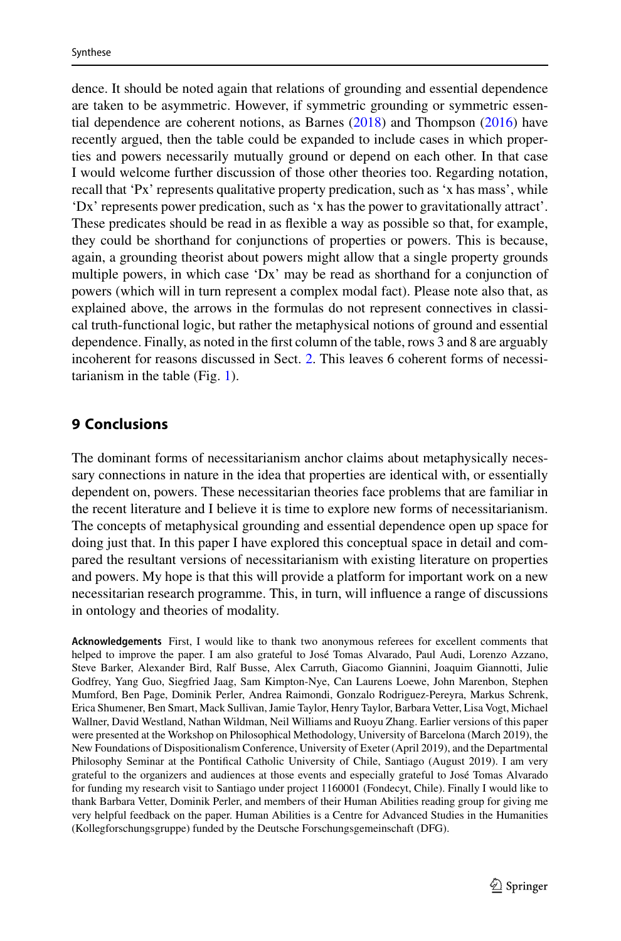dence. It should be noted again that relations of grounding and essential dependence are taken to be asymmetric. However, if symmetric grounding or symmetric essential dependence are coherent notions, as Barnes [\(2018\)](#page-28-26) and Thompson [\(2016\)](#page-30-21) have recently argued, then the table could be expanded to include cases in which properties and powers necessarily mutually ground or depend on each other. In that case I would welcome further discussion of those other theories too. Regarding notation, recall that 'Px' represents qualitative property predication, such as 'x has mass', while 'Dx' represents power predication, such as 'x has the power to gravitationally attract'. These predicates should be read in as flexible a way as possible so that, for example, they could be shorthand for conjunctions of properties or powers. This is because, again, a grounding theorist about powers might allow that a single property grounds multiple powers, in which case 'Dx' may be read as shorthand for a conjunction of powers (which will in turn represent a complex modal fact). Please note also that, as explained above, the arrows in the formulas do not represent connectives in classical truth-functional logic, but rather the metaphysical notions of ground and essential dependence. Finally, as noted in the first column of the table, rows 3 and 8 are arguably incoherent for reasons discussed in Sect. [2.](#page-5-0) This leaves 6 coherent forms of necessitarianism in the table (Fig. [1\)](#page-26-0).

#### **9 Conclusions**

The dominant forms of necessitarianism anchor claims about metaphysically necessary connections in nature in the idea that properties are identical with, or essentially dependent on, powers. These necessitarian theories face problems that are familiar in the recent literature and I believe it is time to explore new forms of necessitarianism. The concepts of metaphysical grounding and essential dependence open up space for doing just that. In this paper I have explored this conceptual space in detail and compared the resultant versions of necessitarianism with existing literature on properties and powers. My hope is that this will provide a platform for important work on a new necessitarian research programme. This, in turn, will influence a range of discussions in ontology and theories of modality.

**Acknowledgements** First, I would like to thank two anonymous referees for excellent comments that helped to improve the paper. I am also grateful to José Tomas Alvarado, Paul Audi, Lorenzo Azzano, Steve Barker, Alexander Bird, Ralf Busse, Alex Carruth, Giacomo Giannini, Joaquim Giannotti, Julie Godfrey, Yang Guo, Siegfried Jaag, Sam Kimpton-Nye, Can Laurens Loewe, John Marenbon, Stephen Mumford, Ben Page, Dominik Perler, Andrea Raimondi, Gonzalo Rodriguez-Pereyra, Markus Schrenk, Erica Shumener, Ben Smart, Mack Sullivan, Jamie Taylor, Henry Taylor, Barbara Vetter, Lisa Vogt, Michael Wallner, David Westland, Nathan Wildman, Neil Williams and Ruoyu Zhang. Earlier versions of this paper were presented at the Workshop on Philosophical Methodology, University of Barcelona (March 2019), the New Foundations of Dispositionalism Conference, University of Exeter (April 2019), and the Departmental Philosophy Seminar at the Pontifical Catholic University of Chile, Santiago (August 2019). I am very grateful to the organizers and audiences at those events and especially grateful to José Tomas Alvarado for funding my research visit to Santiago under project 1160001 (Fondecyt, Chile). Finally I would like to thank Barbara Vetter, Dominik Perler, and members of their Human Abilities reading group for giving me very helpful feedback on the paper. Human Abilities is a Centre for Advanced Studies in the Humanities (Kollegforschungsgruppe) funded by the Deutsche Forschungsgemeinschaft (DFG).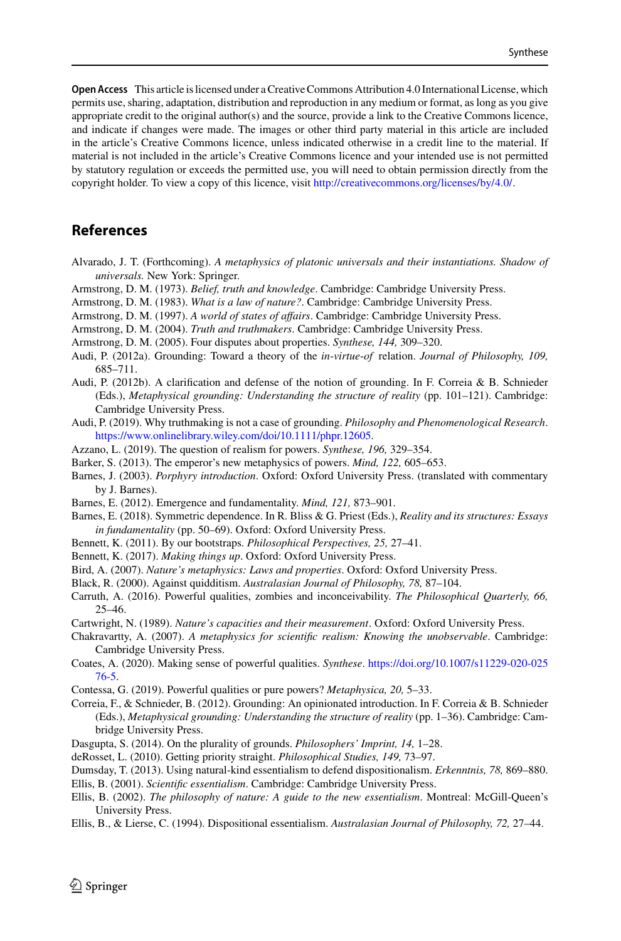**Open Access** This article is licensed under a Creative Commons Attribution 4.0 International License, which permits use, sharing, adaptation, distribution and reproduction in any medium or format, as long as you give appropriate credit to the original author(s) and the source, provide a link to the Creative Commons licence, and indicate if changes were made. The images or other third party material in this article are included in the article's Creative Commons licence, unless indicated otherwise in a credit line to the material. If material is not included in the article's Creative Commons licence and your intended use is not permitted by statutory regulation or exceeds the permitted use, you will need to obtain permission directly from the copyright holder. To view a copy of this licence, visit [http://creativecommons.org/licenses/by/4.0/.](http://creativecommons.org/licenses/by/4.0/)

## **References**

- Alvarado, J. T. (Forthcoming). *A metaphysics of platonic universals and their instantiations. Shadow of universals.* New York: Springer.
- <span id="page-28-10"></span>Armstrong, D. M. (1973). *Belief, truth and knowledge*. Cambridge: Cambridge University Press.
- <span id="page-28-0"></span>Armstrong, D. M. (1983). *What is a law of nature?*. Cambridge: Cambridge University Press.
- <span id="page-28-13"></span>Armstrong, D. M. (1997). *A world of states of affairs*. Cambridge: Cambridge University Press.
- <span id="page-28-12"></span>Armstrong, D. M. (2004). *Truth and truthmakers*. Cambridge: Cambridge University Press.
- <span id="page-28-11"></span>Armstrong, D. M. (2005). Four disputes about properties. *Synthese, 144,* 309–320.
- <span id="page-28-14"></span>Audi, P. (2012a). Grounding: Toward a theory of the *in*-*virtue*-*of* relation. *Journal of Philosophy, 109,* 685–711.
- <span id="page-28-17"></span>Audi, P. (2012b). A clarification and defense of the notion of grounding. In F. Correia & B. Schnieder (Eds.), *Metaphysical grounding: Understanding the structure of reality* (pp. 101–121). Cambridge: Cambridge University Press.
- <span id="page-28-22"></span>Audi, P. (2019). Why truthmaking is not a case of grounding. *Philosophy and Phenomenological Research*. [https://www.onlinelibrary.wiley.com/doi/10.1111/phpr.12605.](https://www.onlinelibrary.wiley.com/doi/10.1111/phpr.12605)
- <span id="page-28-19"></span>Azzano, L. (2019). The question of realism for powers. *Synthese, 196,* 329–354.
- <span id="page-28-9"></span>Barker, S. (2013). The emperor's new metaphysics of powers. *Mind, 122,* 605–653.
- <span id="page-28-25"></span>Barnes, J. (2003). *Porphyry introduction*. Oxford: Oxford University Press. (translated with commentary by J. Barnes).
- <span id="page-28-27"></span>Barnes, E. (2012). Emergence and fundamentality. *Mind, 121,* 873–901.
- <span id="page-28-26"></span>Barnes, E. (2018). Symmetric dependence. In R. Bliss & G. Priest (Eds.), *Reality and its structures: Essays in fundamentality* (pp. 50–69). Oxford: Oxford University Press.
- <span id="page-28-24"></span>Bennett, K. (2011). By our bootstraps. *Philosophical Perspectives, 25,* 27–41.
- <span id="page-28-18"></span>Bennett, K. (2017). *Making things up*. Oxford: Oxford University Press.
- <span id="page-28-2"></span>Bird, A. (2007). *Nature's metaphysics: Laws and properties*. Oxford: Oxford University Press.
- <span id="page-28-1"></span>Black, R. (2000). Against quidditism. *Australasian Journal of Philosophy, 78,* 87–104.
- <span id="page-28-4"></span>Carruth, A. (2016). Powerful qualities, zombies and inconceivability. *The Philosophical Quarterly, 66,* 25–46.
- <span id="page-28-7"></span>Cartwright, N. (1989). *Nature's capacities and their measurement*. Oxford: Oxford University Press.
- <span id="page-28-8"></span>Chakravartty, A. (2007). *A metaphysics for scientific realism: Knowing the unobservable*. Cambridge: Cambridge University Press.
- <span id="page-28-21"></span>Coat[es, A. \(2020\). Making sense of powerful qualities.](https://doi.org/10.1007/s11229-020-02576-5) *Synthese*. https://doi.org/10.1007/s11229-020-025 76-5.
- <span id="page-28-20"></span>Contessa, G. (2019). Powerful qualities or pure powers? *Metaphysica, 20,* 5–33.
- Correia, F., & Schnieder, B. (2012). Grounding: An opinionated introduction. In F. Correia & B. Schnieder (Eds.), *Metaphysical grounding: Understanding the structure of reality* (pp. 1–36). Cambridge: Cambridge University Press.
- <span id="page-28-15"></span>Dasgupta, S. (2014). On the plurality of grounds. *Philosophers' Imprint, 14,* 1–28.
- <span id="page-28-16"></span>deRosset, L. (2010). Getting priority straight. *Philosophical Studies, 149,* 73–97.
- <span id="page-28-5"></span>Dumsday, T. (2013). Using natural-kind essentialism to defend dispositionalism. *Erkenntnis, 78,* 869–880.
- <span id="page-28-3"></span>Ellis, B. (2001). *Scientific essentialism*. Cambridge: Cambridge University Press.
- <span id="page-28-23"></span>Ellis, B. (2002). *The philosophy of nature: A guide to the new essentialism*. Montreal: McGill-Queen's University Press.
- <span id="page-28-6"></span>Ellis, B., & Lierse, C. (1994). Dispositional essentialism. *Australasian Journal of Philosophy, 72,* 27–44.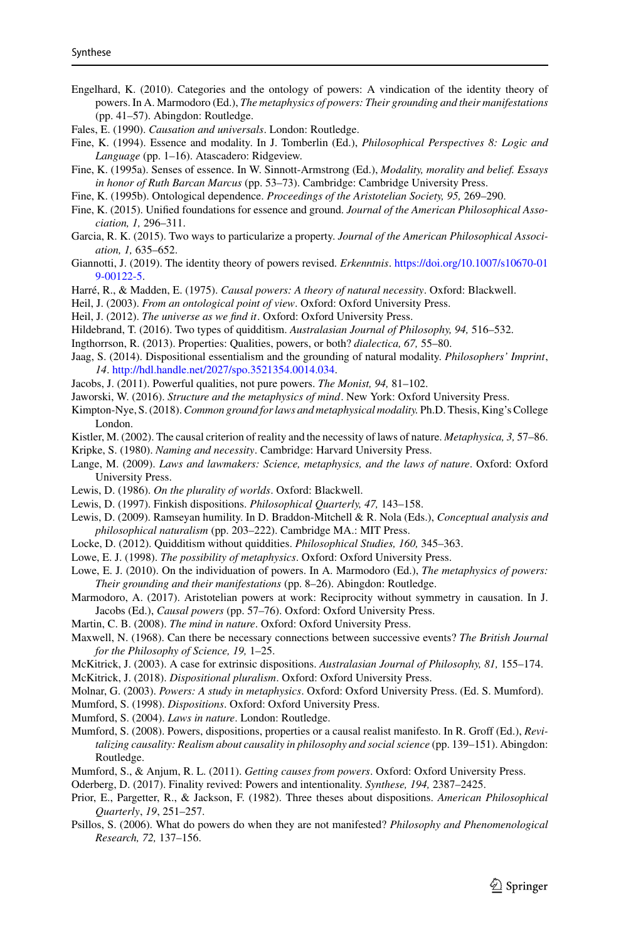- <span id="page-29-4"></span>Engelhard, K. (2010). Categories and the ontology of powers: A vindication of the identity theory of powers. In A. Marmodoro (Ed.), *The metaphysics of powers: Their grounding and their manifestations* (pp. 41–57). Abingdon: Routledge.
- <span id="page-29-11"></span>Fales, E. (1990). *Causation and universals*. London: Routledge.
- <span id="page-29-34"></span>Fine, K. (1994). Essence and modality. In J. Tomberlin (Ed.), *Philosophical Perspectives 8: Logic and Language* (pp. 1–16). Atascadero: Ridgeview.
- <span id="page-29-32"></span>Fine, K. (1995a). Senses of essence. In W. Sinnott-Armstrong (Ed.), *Modality, morality and belief. Essays in honor of Ruth Barcan Marcus* (pp. 53–73). Cambridge: Cambridge University Press.
- <span id="page-29-38"></span>Fine, K. (1995b). Ontological dependence. *Proceedings of the Aristotelian Society, 95,* 269–290.
- <span id="page-29-20"></span>Fine, K. (2015). Unified foundations for essence and ground. *Journal of the American Philosophical Association, 1,* 296–311.
- <span id="page-29-28"></span>Garcia, R. K. (2015). Two ways to particularize a property. *Journal of the American Philosophical Association, 1,* 635–652.
- <span id="page-29-27"></span>Gia[nnotti, J. \(2019\). The identity theory of powers revised.](https://doi.org/10.1007/s10670-019-00122-5) *Erkenntnis*. https://doi.org/10.1007/s10670-01 9-00122-5.
- <span id="page-29-12"></span>Harré, R., & Madden, E. (1975). *Causal powers: A theory of natural necessity*. Oxford: Blackwell.
- <span id="page-29-5"></span>Heil, J. (2003). *From an ontological point of view*. Oxford: Oxford University Press.
- <span id="page-29-24"></span>Heil, J. (2012). *The universe as we find it*. Oxford: Oxford University Press.
- <span id="page-29-25"></span>Hildebrand, T. (2016). Two types of quidditism. *Australasian Journal of Philosophy, 94,* 516–532.
- <span id="page-29-6"></span>Ingthorrson, R. (2013). Properties: Qualities, powers, or both? *dialectica, 67,* 55–80.
- <span id="page-29-18"></span>Jaag, S. (2014). Dispositional essentialism and the grounding of natural modality. *Philosophers' Imprint*, *14*. [http://hdl.handle.net/2027/spo.3521354.0014.034.](http://hdl.handle.net/2027/spo.3521354.0014.034)
- <span id="page-29-7"></span>Jacobs, J. (2011). Powerful qualities, not pure powers. *The Monist, 94,* 81–102.
- <span id="page-29-8"></span>Jaworski, W. (2016). *Structure and the metaphysics of mind*. New York: Oxford University Press.
- <span id="page-29-26"></span>Kimpton-Nye, S. (2018).*Common ground for laws and metaphysical modality.* Ph.D. Thesis, King's College London.
- <span id="page-29-13"></span>Kistler, M. (2002). The causal criterion of reality and the necessity of laws of nature. *Metaphysica, 3,* 57–86.
- <span id="page-29-3"></span>Kripke, S. (1980). *Naming and necessity*. Cambridge: Harvard University Press.
- <span id="page-29-36"></span>Lange, M. (2009). *Laws and lawmakers: Science, metaphysics, and the laws of nature*. Oxford: Oxford University Press.
- <span id="page-29-35"></span>Lewis, D. (1986). *On the plurality of worlds*. Oxford: Blackwell.
- <span id="page-29-19"></span>Lewis, D. (1997). Finkish dispositions. *Philosophical Quarterly, 47,* 143–158.
- <span id="page-29-0"></span>Lewis, D. (2009). Ramseyan humility. In D. Braddon-Mitchell & R. Nola (Eds.), *Conceptual analysis and philosophical naturalism* (pp. 203–222). Cambridge MA.: MIT Press.
- <span id="page-29-29"></span>Locke, D. (2012). Quidditism without quiddities. *Philosophical Studies, 160,* 345–363.
- <span id="page-29-33"></span>Lowe, E. J. (1998). *The possibility of metaphysics*. Oxford: Oxford University Press.
- <span id="page-29-21"></span>Lowe, E. J. (2010). On the individuation of powers. In A. Marmodoro (Ed.), *The metaphysics of powers: Their grounding and their manifestations* (pp. 8–26). Abingdon: Routledge.
- <span id="page-29-14"></span>Marmodoro, A. (2017). Aristotelian powers at work: Reciprocity without symmetry in causation. In J. Jacobs (Ed.), *Causal powers* (pp. 57–76). Oxford: Oxford University Press.
- <span id="page-29-9"></span>Martin, C. B. (2008). *The mind in nature*. Oxford: Oxford University Press.
- <span id="page-29-15"></span>Maxwell, N. (1968). Can there be necessary connections between successive events? *The British Journal for the Philosophy of Science, 19,* 1–25.
- <span id="page-29-30"></span>McKitrick, J. (2003). A case for extrinsic dispositions. *Australasian Journal of Philosophy, 81,* 155–174.
- <span id="page-29-16"></span>McKitrick, J. (2018). *Dispositional pluralism*. Oxford: Oxford University Press.
- <span id="page-29-17"></span>Molnar, G. (2003). *Powers: A study in metaphysics*. Oxford: Oxford University Press. (Ed. S. Mumford).
- <span id="page-29-22"></span>Mumford, S. (1998). *Dispositions*. Oxford: Oxford University Press.
- <span id="page-29-1"></span>Mumford, S. (2004). *Laws in nature*. London: Routledge.
- <span id="page-29-37"></span>Mumford, S. (2008). Powers, dispositions, properties or a causal realist manifesto. In R. Groff (Ed.), *Revitalizing causality: Realism about causality in philosophy and social science* (pp. 139–151). Abingdon: Routledge.
- <span id="page-29-2"></span>Mumford, S., & Anjum, R. L. (2011). *Getting causes from powers*. Oxford: Oxford University Press.

<span id="page-29-10"></span>Oderberg, D. (2017). Finality revived: Powers and intentionality. *Synthese, 194,* 2387–2425.

- <span id="page-29-23"></span>Prior, E., Pargetter, R., & Jackson, F. (1982). Three theses about dispositions. *American Philosophical Quarterly*, *19*, 251–257.
- <span id="page-29-31"></span>Psillos, S. (2006). What do powers do when they are not manifested? *Philosophy and Phenomenological Research, 72,* 137–156.